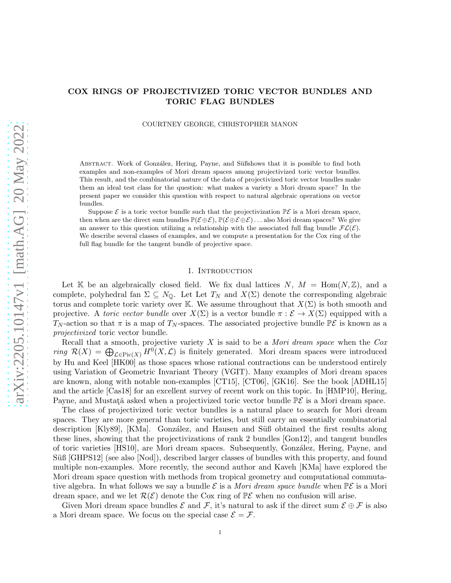## COX RINGS OF PROJECTIVIZED TORIC VECTOR BUNDLES AND TORIC FLAG BUNDLES

COURTNEY GEORGE, CHRISTOPHER MANON

ABSTRACT. Work of González, Hering, Payne, and Süßshows that it is possible to find both examples and non-examples of Mori dream spaces among projectivized toric vector bundles. This result, and the combinatorial nature of the data of projectivized toric vector bundles make them an ideal test class for the question: what makes a variety a Mori dream space? In the present paper we consider this question with respect to natural algebraic operations on vector bundles.

Suppose  $\mathcal E$  is a toric vector bundle such that the projectivization  $\mathbb P\mathcal E$  is a Mori dream space, then when are the direct sum bundles  $\mathbb{P}(\mathcal{E} \oplus \mathcal{E})$ ,  $\mathbb{P}(\mathcal{E} \oplus \mathcal{E} \oplus \mathcal{E})$ ... also Mori dream spaces? We give an answer to this question utilizing a relationship with the associated full flag bundle  $FL(\mathcal{E})$ . We describe several classes of examples, and we compute a presentation for the Cox ring of the full flag bundle for the tangent bundle of projective space.

## 1. INTRODUCTION

Let K be an algebraically closed field. We fix dual lattices  $N, M = \text{Hom}(N, \mathbb{Z})$ , and a complete, polyhedral fan  $\Sigma \subseteq N_0$ . Let Let  $T_N$  and  $X(\Sigma)$  denote the corresponding algebraic torus and complete toric variety over K. We assume throughout that  $X(\Sigma)$  is both smooth and projective. A toric vector bundle over  $X(\Sigma)$  is a vector bundle  $\pi : \mathcal{E} \to X(\Sigma)$  equipped with a T<sub>N</sub>-action so that  $\pi$  is a map of T<sub>N</sub>-spaces. The associated projective bundle  $\mathbb{P}\mathcal{E}$  is known as a projectivized toric vector bundle.

Recall that a smooth, projective variety  $X$  is said to be a *Mori dream space* when the  $Cox$ ring  $\mathcal{R}(X) = \bigoplus_{\mathcal{L} \in \text{Pic}(X)} H^0(X, \mathcal{L})$  is finitely generated. Mori dream spaces were introduced by Hu and Keel [HK00] as those spaces whose rational contractions can be understood entirely using Variation of Geometric Invariant Theory (VGIT). Many examples of Mori dream spaces are known, along with notable non-examples [CT15], [CT06], [GK16]. See the book [ADHL15] and the article [Cas18] for an excellent survey of recent work on this topic. In [HMP10], Hering, Payne, and Mustată asked when a projectivized toric vector bundle  $\mathbb{P}\mathcal{E}$  is a Mori dream space.

The class of projectivized toric vector bundles is a natural place to search for Mori dream spaces. They are more general than toric varieties, but still carry an essentially combinatorial description [Kly89], [KMa]. González, and Hausen and Süß obtained the first results along these lines, showing that the projectivizations of rank 2 bundles [Gon12], and tangent bundles of toric varieties [HS10], are Mori dream spaces. Subsequently, Gonz´alez, Hering, Payne, and Süß [GHPS12] (see also [Nod]), described larger classes of bundles with this property, and found multiple non-examples. More recently, the second author and Kaveh [KMa] have explored the Mori dream space question with methods from tropical geometry and computational commutative algebra. In what follows we say a bundle  $\mathcal E$  is a *Mori dream space bundle* when  $\mathbb P\mathcal E$  is a Mori dream space, and we let  $\mathcal{R}(\mathcal{E})$  denote the Cox ring of  $\mathbb{P}\mathcal{E}$  when no confusion will arise.

Given Mori dream space bundles  $\mathcal E$  and  $\mathcal F$ , it's natural to ask if the direct sum  $\mathcal E \oplus \mathcal F$  is also a Mori dream space. We focus on the special case  $\mathcal{E} = \mathcal{F}$ .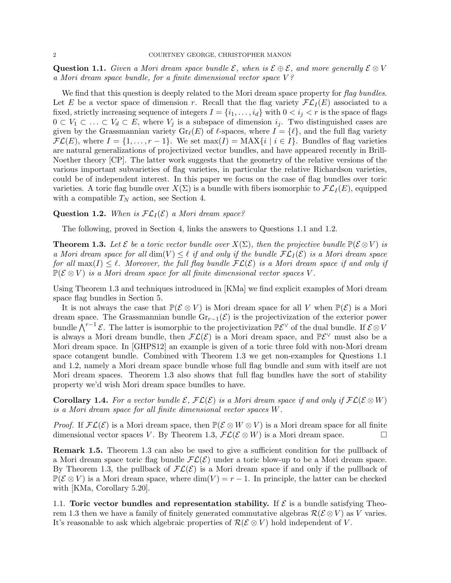Question 1.1. Given a Mori dream space bundle  $\mathcal{E}$ , when is  $\mathcal{E} \oplus \mathcal{E}$ , and more generally  $\mathcal{E} \otimes V$ a Mori dream space bundle, for a finite dimensional vector space V ?

We find that this question is deeply related to the Mori dream space property for flag bundles. Let E be a vector space of dimension r. Recall that the flag variety  $\mathcal{FL}_I(E)$  associated to a fixed, strictly increasing sequence of integers  $I = \{i_1, \ldots, i_d\}$  with  $0 < i_j < r$  is the space of flags  $0 \subset V_1 \subset \ldots \subset V_d \subset E$ , where  $V_j$  is a subspace of dimension  $i_j$ . Two distinguished cases are given by the Grassmannian variety  $\text{Gr}_{\ell}(E)$  of  $\ell$ -spaces, where  $I = {\ell}$ , and the full flag variety  $\mathcal{FL}(E)$ , where  $I = \{1, \ldots, r-1\}$ . We set max $(I) = \text{MAX}\{i \mid i \in I\}$ . Bundles of flag varieties are natural generalizations of projectivized vector bundles, and have appeared recently in Brill-Noether theory [CP]. The latter work suggests that the geometry of the relative versions of the various important subvarieties of flag varieties, in particular the relative Richardson varieties, could be of independent interest. In this paper we focus on the case of flag bundles over toric varieties. A toric flag bundle over  $X(\Sigma)$  is a bundle with fibers isomorphic to  $\mathcal{FL}_I(E)$ , equipped with a compatible  $T_N$  action, see Section 4.

### **Question 1.2.** When is  $FL_I(\mathcal{E})$  a Mori dream space?

The following, proved in Section 4, links the answers to Questions 1.1 and 1.2.

**Theorem 1.3.** Let  $\mathcal{E}$  be a toric vector bundle over  $X(\Sigma)$ , then the projective bundle  $\mathbb{P}(\mathcal{E} \otimes V)$  is a Mori dream space for all  $\dim(V) \leq \ell$  if and only if the bundle  $FL_I(\mathcal{E})$  is a Mori dream space for all  $\max(I) \leq \ell$ . Moreover, the full flag bundle  $\mathcal{FL}(\mathcal{E})$  is a Mori dream space if and only if  $\mathbb{P}(\mathcal{E} \otimes V)$  is a Mori dream space for all finite dimensional vector spaces V.

Using Theorem 1.3 and techniques introduced in [KMa] we find explicit examples of Mori dream space flag bundles in Section 5.

It is not always the case that  $\mathbb{P}(\mathcal{E} \otimes V)$  is Mori dream space for all V when  $\mathbb{P}(\mathcal{E})$  is a Mori dream space. The Grassmannian bundle  $\text{Gr}_{r-1}(\mathcal{E})$  is the projectivization of the exterior power bundle  $\bigwedge^{r-1}$   $\mathcal{E}$ . The latter is isomorphic to the projectivization  $\mathbb{P} \mathcal{E}^{\vee}$  of the dual bundle. If  $\mathcal{E} \otimes V$ is always a Mori dream bundle, then  $FL(\mathcal{E})$  is a Mori dream space, and  $\mathbb{P}\mathcal{E}^{\vee}$  must also be a Mori dream space. In [GHPS12] an example is given of a toric three fold with non-Mori dream space cotangent bundle. Combined with Theorem 1.3 we get non-examples for Questions 1.1 and 1.2, namely a Mori dream space bundle whose full flag bundle and sum with itself are not Mori dream spaces. Theorem 1.3 also shows that full flag bundles have the sort of stability property we'd wish Mori dream space bundles to have.

**Corollary 1.4.** For a vector bundle  $\mathcal{E}, \mathcal{FL}(\mathcal{E})$  is a Mori dream space if and only if  $\mathcal{FL}(\mathcal{E} \otimes W)$ is a Mori dream space for all finite dimensional vector spaces W.

*Proof.* If  $\mathcal{FL}(\mathcal{E})$  is a Mori dream space, then  $\mathbb{P}(\mathcal{E} \otimes W \otimes V)$  is a Mori dream space for all finite dimensional vector spaces V. By Theorem 1.3,  $\mathcal{FL}(\mathcal{E} \otimes W)$  is a Mori dream space.

Remark 1.5. Theorem 1.3 can also be used to give a sufficient condition for the pullback of a Mori dream space toric flag bundle  $FL(\mathcal{E})$  under a toric blow-up to be a Mori dream space. By Theorem 1.3, the pullback of  $FL(\mathcal{E})$  is a Mori dream space if and only if the pullback of  $\mathbb{P}(\mathcal{E} \otimes V)$  is a Mori dream space, where  $\dim(V) = r - 1$ . In principle, the latter can be checked with [KMa, Corollary 5.20].

1.1. Toric vector bundles and representation stability. If  $\mathcal E$  is a bundle satisfying Theorem 1.3 then we have a family of finitely generated commutative algebras  $\mathcal{R}(\mathcal{E} \otimes V)$  as V varies. It's reasonable to ask which algebraic properties of  $\mathcal{R}(\mathcal{E} \otimes V)$  hold independent of V.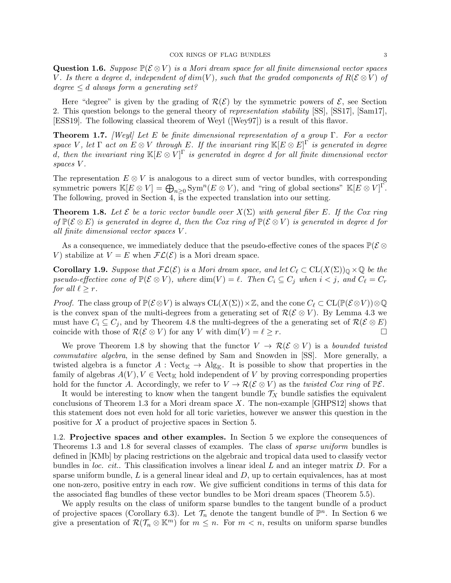Question 1.6. Suppose  $\mathbb{P}(\mathcal{E} \otimes V)$  is a Mori dream space for all finite dimensional vector spaces V. Is there a degree d, independent of  $dim(V)$ , such that the graded components of  $R(\mathcal{E} \otimes V)$  of degree  $\leq d$  always form a generating set?

Here "degree" is given by the grading of  $\mathcal{R}(\mathcal{E})$  by the symmetric powers of  $\mathcal{E}$ , see Section 2. This question belongs to the general theory of representation stability [SS], [SS17], [Sam17], [ESS19]. The following classical theorem of Weyl ([Wey97]) is a result of this flavor.

**Theorem 1.7.** [Weyl] Let E be finite dimensional representation of a group  $\Gamma$ . For a vector space V, let  $\Gamma$  act on  $E \otimes V$  through E. If the invariant ring  $\mathbb{K}[E \otimes E]^{\Gamma}$  is generated in degree d, then the invariant ring  $\mathbb{K}[E \otimes V]^\Gamma$  is generated in degree d for all finite dimensional vector spaces V .

The representation  $E \otimes V$  is analogous to a direct sum of vector bundles, with corresponding symmetric powers  $\mathbb{K}[E \otimes V] = \bigoplus_{n \geq 0} \text{Sym}^n(E \otimes V)$ , and "ring of global sections"  $\mathbb{K}[E \otimes V]$ <sup>r</sup>. The following, proved in Section 4, is the expected translation into our setting.

**Theorem 1.8.** Let  $\mathcal E$  be a toric vector bundle over  $X(\Sigma)$  with general fiber E. If the Cox ring of  $\mathbb{P}(\mathcal{E} \otimes E)$  is generated in degree d, then the Cox ring of  $\mathbb{P}(\mathcal{E} \otimes V)$  is generated in degree d for all finite dimensional vector spaces V .

As a consequence, we immediately deduce that the pseudo-effective cones of the spaces  $\mathbb{P}(\mathcal{E} \otimes$ V) stabilize at  $V = E$  when  $\mathcal{FL}(\mathcal{E})$  is a Mori dream space.

**Corollary 1.9.** Suppose that  $\mathcal{FL}(\mathcal{E})$  is a Mori dream space, and let  $C_{\ell} \subset CL(X(\Sigma))_{\mathbb{Q}} \times \mathbb{Q}$  be the pseudo-effective cone of  $\mathbb{P}(\mathcal{E} \otimes V)$ , where  $\dim(V) = \ell$ . Then  $C_i \subseteq C_j$  when  $i < j$ , and  $C_\ell = C_r$ for all  $\ell \geq r$ .

*Proof.* The class group of  $\mathbb{P}(\mathcal{E} \otimes V)$  is always  $\mathrm{CL}(X(\Sigma)) \times \mathbb{Z}$ , and the cone  $C_{\ell} \subset \mathrm{CL}(\mathbb{P}(\mathcal{E} \otimes V)) \otimes \mathbb{Q}$ is the convex span of the multi-degrees from a generating set of  $\mathcal{R}(\mathcal{E} \otimes V)$ . By Lemma 4.3 we must have  $C_i \subseteq C_j$ , and by Theorem 4.8 the multi-degrees of the a generating set of  $\mathcal{R}(\mathcal{E} \otimes E)$ coincide with those of  $\mathcal{R}(\mathcal{E} \otimes V)$  for any V with  $\dim(V) = \ell \geq r$ .

We prove Theorem 1.8 by showing that the functor  $V \to \mathcal{R}(\mathcal{E} \otimes V)$  is a bounded twisted commutative algebra, in the sense defined by Sam and Snowden in [SS]. More generally, a twisted algebra is a functor  $A : \text{Vect}_{\mathbb{K}} \to \text{Alg}_{\mathbb{K}}$ . It is possible to show that properties in the family of algebras  $A(V)$ ,  $V \in \text{Vect}_{\mathbb{K}}$  hold independent of V by proving corresponding properties hold for the functor A. Accordingly, we refer to  $V \to \mathcal{R}(\mathcal{E} \otimes V)$  as the *twisted Cox ring* of  $\mathbb{P}\mathcal{E}$ .

It would be interesting to know when the tangent bundle  $\mathcal{T}_X$  bundle satisfies the equivalent conclusions of Theorem 1.3 for a Mori dream space X. The non-example  $\lbrack \text{GHPS12} \rbrack$  shows that this statement does not even hold for all toric varieties, however we answer this question in the positive for X a product of projective spaces in Section 5.

1.2. Projective spaces and other examples. In Section 5 we explore the consequences of Theorems 1.3 and 1.8 for several classes of examples. The class of sparse uniform bundles is defined in [KMb] by placing restrictions on the algebraic and tropical data used to classify vector bundles in *loc. cit.*. This classification involves a linear ideal  $L$  and an integer matrix  $D$ . For a sparse uniform bundle,  $L$  is a general linear ideal and  $D$ , up to certain equivalences, has at most one non-zero, positive entry in each row. We give sufficient conditions in terms of this data for the associated flag bundles of these vector bundles to be Mori dream spaces (Theorem 5.5).

We apply results on the class of uniform sparse bundles to the tangent bundle of a product of projective spaces (Corollary 6.3). Let  $\mathcal{T}_n$  denote the tangent bundle of  $\mathbb{P}^n$ . In Section 6 we give a presentation of  $\mathcal{R}(\mathcal{T}_n \otimes \mathbb{K}^m)$  for  $m \leq n$ . For  $m < n$ , results on uniform sparse bundles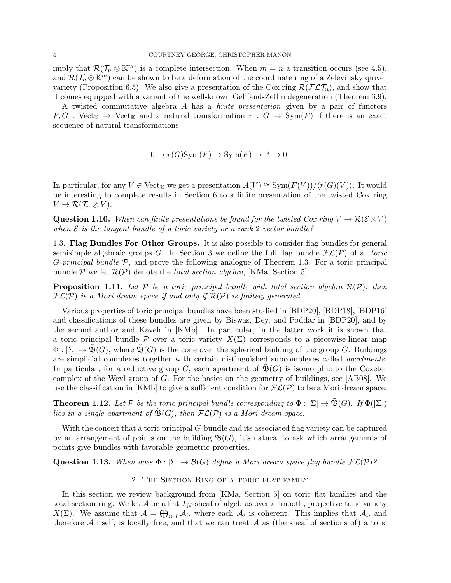imply that  $\mathcal{R}(\mathcal{T}_n \otimes \mathbb{K}^m)$  is a complete intersection. When  $m = n$  a transition occurs (see 4.5), and  $\mathcal{R}(\mathcal{T}_n \otimes \mathbb{K}^m)$  can be shown to be a deformation of the coordinate ring of a Zelevinsky quiver variety (Proposition 6.5). We also give a presentation of the Cox ring  $\mathcal{R}(\mathcal{FLT}_n)$ , and show that it comes equipped with a variant of the well-known Gel'fand-Zetlin degeneration (Theorem 6.9).

A twisted commutative algebra A has a finite presentation given by a pair of functors  $F, G$ : Vect<sub>K</sub>  $\rightarrow$  Vect<sub>K</sub> and a natural transformation  $r : G \rightarrow \text{Sym}(F)$  if there is an exact sequence of natural transformations:

$$
0 \to r(G)Sym(F) \to Sym(F) \to A \to 0.
$$

In particular, for any  $V \in \text{Vect}_{\mathbb{K}}$  we get a presentation  $A(V) \cong \text{Sym}(F(V))/\langle r(G)(V) \rangle$ . It would be interesting to complete results in Section 6 to a finite presentation of the twisted Cox ring  $V \to \mathcal{R}(\mathcal{T}_n \otimes V).$ 

Question 1.10. When can finite presentations be found for the twisted Cox ring  $V \to \mathcal{R}(\mathcal{E} \otimes V)$ when  $\mathcal E$  is the tangent bundle of a toric variety or a rank 2 vector bundle?

1.3. Flag Bundles For Other Groups. It is also possible to consider flag bundles for general semisimple algebraic groups G. In Section 3 we define the full flag bundle  $\mathcal{FL}(P)$  of a toric *G-principal bundle*  $P$ , and prove the following analogue of Theorem 1.3. For a toric principal bundle P we let  $\mathcal{R}(\mathcal{P})$  denote the *total section algebra*, [KMa, Section 5].

**Proposition 1.11.** Let P be a toric principal bundle with total section algebra  $\mathcal{R}(\mathcal{P})$ , then  $\mathcal{FL}(\mathcal{P})$  is a Mori dream space if and only if  $\mathcal{R}(\mathcal{P})$  is finitely generated.

Various properties of toric principal bundles have been studied in [BDP20], [BDP18], [BDP16] and classifications of these bundles are given by Biswas, Dey, and Poddar in [BDP20], and by the second author and Kaveh in [KMb]. In particular, in the latter work it is shown that a toric principal bundle P over a toric variety  $X(\Sigma)$  corresponds to a piecewise-linear map  $\Phi: |\Sigma| \to \tilde{\mathfrak{B}}(G)$ , where  $\tilde{\mathfrak{B}}(G)$  is the cone over the spherical building of the group G. Buildings are simplicial complexes together with certain distinguished subcomplexes called apartments. In particular, for a reductive group G, each apartment of  $\mathfrak{B}(G)$  is isomorphic to the Coxeter complex of the Weyl group of  $G$ . For the basics on the geometry of buildings, see [AB08]. We use the classification in [KMb] to give a sufficient condition for  $\mathcal{FL}(\mathcal{P})$  to be a Mori dream space.

**Theorem 1.12.** Let P be the toric principal bundle corresponding to  $\Phi : |\Sigma| \to \tilde{\mathfrak{B}}(G)$ . If  $\Phi(|\Sigma|)$ lies in a single apartment of  $\tilde{\mathfrak{B}}(G)$ , then  $\mathcal{FL}(\mathcal{P})$  is a Mori dream space.

With the conceit that a toric principal G-bundle and its associated flag variety can be captured by an arrangement of points on the building  $\mathfrak{B}(G)$ , it's natural to ask which arrangements of points give bundles with favorable geometric properties.

Question 1.13. When does  $\Phi : |\Sigma| \to \mathcal{B}(G)$  define a Mori dream space flag bundle  $\mathcal{FL}(\mathcal{P})$ ?

### 2. The Section Ring of a toric flat family

In this section we review background from [KMa, Section 5] on toric flat families and the total section ring. We let  $A$  be a flat  $T_N$ -sheaf of algebras over a smooth, projective toric variety  $X(\Sigma)$ . We assume that  $\mathcal{A} = \bigoplus_{i \in I} \mathcal{A}_i$ , where each  $\mathcal{A}_i$  is coherent. This implies that  $\mathcal{A}_i$ , and therefore  $A$  itself, is locally free, and that we can treat  $A$  as (the sheaf of sections of) a toric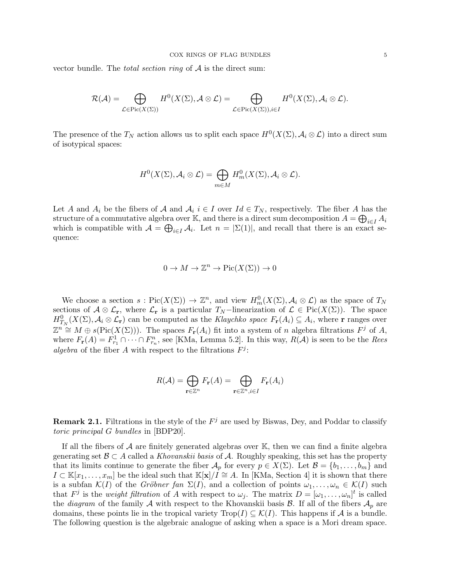vector bundle. The *total section ring* of  $A$  is the direct sum:

$$
\mathcal{R}(\mathcal{A})=\bigoplus_{\mathcal{L}\in \mathrm{Pic}(X(\Sigma))}H^0(X(\Sigma),\mathcal{A}\otimes \mathcal{L})=\bigoplus_{\mathcal{L}\in \mathrm{Pic}(X(\Sigma)), i\in I}H^0(X(\Sigma),\mathcal{A}_i\otimes \mathcal{L}).
$$

The presence of the  $T_N$  action allows us to split each space  $H^0(X(\Sigma), \mathcal{A}_i \otimes \mathcal{L})$  into a direct sum of isotypical spaces:

$$
H^{0}(X(\Sigma), \mathcal{A}_{i} \otimes \mathcal{L}) = \bigoplus_{m \in M} H_{m}^{0}(X(\Sigma), \mathcal{A}_{i} \otimes \mathcal{L}).
$$

Let A and  $A_i$  be the fibers of A and  $A_i$  i  $\in I$  over  $Id \in T_N$ , respectively. The fiber A has the structure of a commutative algebra over K, and there is a direct sum decomposition  $A = \bigoplus_{i \in I} A_i$ which is compatible with  $\mathcal{A} = \bigoplus_{i \in I} \mathcal{A}_i$ . Let  $n = |\Sigma(1)|$ , and recall that there is an exact sequence:

$$
0 \to M \to \mathbb{Z}^n \to \mathrm{Pic}(X(\Sigma)) \to 0
$$

We choose a section  $s: Pic(X(\Sigma)) \to \mathbb{Z}^n$ , and view  $H_m^0(X(\Sigma), \mathcal{A}_i \otimes \mathcal{L})$  as the space of  $T_N$ sections of  $\mathcal{A} \otimes \mathcal{L}_{r}$ , where  $\mathcal{L}_{r}$  is a particular  $T_N$ -linearization of  $\mathcal{L} \in Pic(X(\Sigma))$ . The space  $H^0_{T_N}(X(\Sigma), \mathcal{A}_i \otimes \mathcal{L}_{r})$  can be computed as the Klaychko space  $F_r(A_i) \subseteq A_i$ , where r ranges over  $\mathbb{Z}^n \cong M \oplus s(\text{Pic}(X(\Sigma)))$ . The spaces  $F_{\mathbf{r}}(A_i)$  fit into a system of n algebra filtrations  $F^j$  of A, where  $F_{\mathbf{r}}(A) = F_{r_1}^1 \cap \cdots \cap F_{r_n}^n$ , see [KMa, Lemma 5.2]. In this way,  $R(A)$  is seen to be the *Rees* algebra of the fiber A with respect to the filtrations  $F^j$ :

$$
R(\mathcal{A}) = \bigoplus_{\mathbf{r} \in \mathbb{Z}^n} F_{\mathbf{r}}(A) = \bigoplus_{\mathbf{r} \in \mathbb{Z}^n, i \in I} F_{\mathbf{r}}(A_i)
$$

**Remark 2.1.** Filtrations in the style of the  $F^j$  are used by Biswas, Dey, and Poddar to classify toric principal G bundles in [BDP20].

If all the fibers of  $A$  are finitely generated algebras over  $\mathbb{K}$ , then we can find a finite algebra generating set  $\mathcal{B} \subset A$  called a Khovanskii basis of A. Roughly speaking, this set has the property that its limits continue to generate the fiber  $\mathcal{A}_p$  for every  $p \in X(\Sigma)$ . Let  $\mathcal{B} = \{b_1, \ldots, b_m\}$  and  $I \subset \mathbb{K}[x_1,\ldots,x_m]$  be the ideal such that  $\mathbb{K}[\mathbf{x}]/I \cong A$ . In [KMa, Section 4] it is shown that there is a subfan  $\mathcal{K}(I)$  of the *Gröbner fan*  $\Sigma(I)$ , and a collection of points  $\omega_1, \ldots, \omega_n \in \mathcal{K}(I)$  such that  $F^j$  is the *weight filtration* of A with respect to  $\omega_j$ . The matrix  $D = [\omega_1, \ldots, \omega_n]^t$  is called the *diagram* of the family A with respect to the Khovanskii basis  $\mathcal{B}$ . If all of the fibers  $\mathcal{A}_p$  are domains, these points lie in the tropical variety  $\text{Top}(I) \subseteq \mathcal{K}(I)$ . This happens if A is a bundle. The following question is the algebraic analogue of asking when a space is a Mori dream space.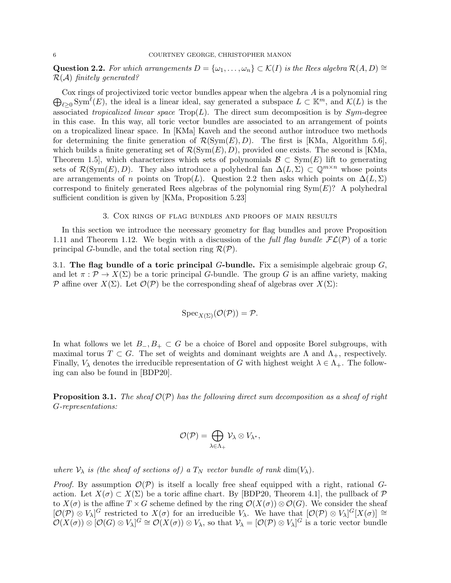Question 2.2. For which arrangements  $D = {\omega_1, \ldots, \omega_n} \subset \mathcal{K}(I)$  is the Rees algebra  $\mathcal{R}(A, D) \cong$  $\mathcal{R}(\mathcal{A})$  finitely generated?

 $\bigoplus_{\ell \geq 0} \text{Sym}^{\ell}(E)$ , the ideal is a linear ideal, say generated a subspace  $L \subset \mathbb{K}^m$ , and  $\mathcal{K}(L)$  is the Cox rings of projectivized toric vector bundles appear when the algebra  $A$  is a polynomial ring associated tropicalized linear space  $\text{Top}(L)$ . The direct sum decomposition is by Sym-degree in this case. In this way, all toric vector bundles are associated to an arrangement of points on a tropicalized linear space. In [KMa] Kaveh and the second author introduce two methods for determining the finite generation of  $\mathcal{R}(\text{Sym}(E), D)$ . The first is [KMa, Algorithm 5.6], which builds a finite generating set of  $\mathcal{R}(\text{Sym}(E), D)$ , provided one exists. The second is [KMa, Theorem 1.5], which characterizes which sets of polynomials  $\mathcal{B} \subset Sym(E)$  lift to generating sets of  $\mathcal{R}(\text{Sym}(E), D)$ . They also introduce a polyhedral fan  $\Delta(L, \Sigma) \subset \mathbb{Q}^{m \times n}$  whose points are arrangements of n points on Trop(L). Question 2.2 then asks which points on  $\Delta(L, \Sigma)$ correspond to finitely generated Rees algebras of the polynomial ring  $Sym(E)$ ? A polyhedral sufficient condition is given by [KMa, Proposition 5.23]

3. Cox rings of flag bundles and proofs of main results

In this section we introduce the necessary geometry for flag bundles and prove Proposition 1.11 and Theorem 1.12. We begin with a discussion of the full flag bundle  $FL(\mathcal{P})$  of a toric principal G-bundle, and the total section ring  $\mathcal{R}(\mathcal{P})$ .

3.1. The flag bundle of a toric principal  $G$ -bundle. Fix a semisimple algebraic group  $G$ , and let  $\pi : \mathcal{P} \to X(\Sigma)$  be a toric principal G-bundle. The group G is an affine variety, making P affine over  $X(\Sigma)$ . Let  $\mathcal{O}(\mathcal{P})$  be the corresponding sheaf of algebras over  $X(\Sigma)$ :

$$
Spec_{X(\Sigma)}(\mathcal{O}(\mathcal{P}))=\mathcal{P}.
$$

In what follows we let  $B_-, B_+ \subset G$  be a choice of Borel and opposite Borel subgroups, with maximal torus  $T \subset G$ . The set of weights and dominant weights are  $\Lambda$  and  $\Lambda_{+}$ , respectively. Finally,  $V_{\lambda}$  denotes the irreducible representation of G with highest weight  $\lambda \in \Lambda_{+}$ . The following can also be found in [BDP20].

**Proposition 3.1.** The sheaf  $\mathcal{O}(\mathcal{P})$  has the following direct sum decomposition as a sheaf of right G-representations:

$$
\mathcal{O}(\mathcal{P}) = \bigoplus_{\lambda \in \Lambda_+} \mathcal{V}_{\lambda} \otimes V_{\lambda^*},
$$

where  $\mathcal{V}_{\lambda}$  is (the sheaf of sections of) a  $T_N$  vector bundle of rank dim( $V_{\lambda}$ ).

*Proof.* By assumption  $\mathcal{O}(\mathcal{P})$  is itself a locally free sheaf equipped with a right, rational Gaction. Let  $X(\sigma) \subset X(\Sigma)$  be a toric affine chart. By [BDP20, Theorem 4.1], the pullback of  $\mathcal P$ to  $X(\sigma)$  is the affine  $T \times G$  scheme defined by the ring  $\mathcal{O}(X(\sigma)) \otimes \mathcal{O}(G)$ . We consider the sheaf  $[O(P) \otimes V_\lambda]$ <sup>G</sup> restricted to  $X(\sigma)$  for an irreducible  $V_\lambda$ . We have that  $[O(P) \otimes V_\lambda]$ <sup>G</sup> $[X(\sigma)] \cong$  $\mathcal{O}(X(\sigma)) \otimes [\mathcal{O}(G) \otimes V_{\lambda}]^G \cong \mathcal{O}(X(\sigma)) \otimes V_{\lambda}$ , so that  $\mathcal{V}_{\lambda} = [\mathcal{O}(\mathcal{P}) \otimes V_{\lambda}]^G$  is a toric vector bundle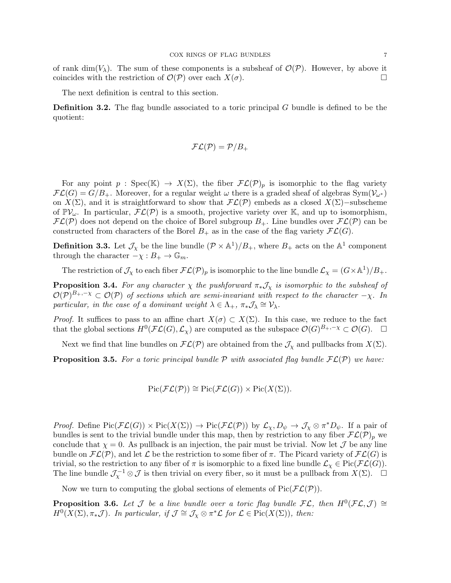of rank dim( $V_\lambda$ ). The sum of these components is a subsheaf of  $\mathcal{O}(\mathcal{P})$ . However, by above it coincides with the restriction of  $\mathcal{O}(\mathcal{P})$  over each  $X(\sigma)$ .

The next definition is central to this section.

**Definition 3.2.** The flag bundle associated to a toric principal  $G$  bundle is defined to be the quotient:

$$
\mathcal{FL}(\mathcal{P})=\mathcal{P}/B_+
$$

For any point  $p : \text{Spec}(\mathbb{K}) \to X(\Sigma)$ , the fiber  $\mathcal{FL}(\mathcal{P})_p$  is isomorphic to the flag variety  $\mathcal{FL}(G) = G/B_+$ . Moreover, for a regular weight  $\omega$  there is a graded sheaf of algebras Sym $(\mathcal{V}_{\omega^*})$ on  $X(\Sigma)$ , and it is straightforward to show that  $\mathcal{FL}(\mathcal{P})$  embeds as a closed  $X(\Sigma)$ −subscheme of  $\mathbb{P}V_\omega$ . In particular,  $\mathcal{FL}(\mathcal{P})$  is a smooth, projective variety over K, and up to isomorphism,  $\mathcal{FL}(\mathcal{P})$  does not depend on the choice of Borel subgroup  $B_+$ . Line bundles over  $\mathcal{FL}(\mathcal{P})$  can be constructed from characters of the Borel  $B_+$  as in the case of the flag variety  $\mathcal{FL}(G)$ .

**Definition 3.3.** Let  $\mathcal{J}_\chi$  be the line bundle  $(\mathcal{P} \times \mathbb{A}^1)/B_+$ , where  $B_+$  acts on the  $\mathbb{A}^1$  component through the character  $-\chi : B_+ \to \mathbb{G}_m$ .

The restriction of  $\mathcal{J}_\chi$  to each fiber  $\mathcal{FL}(\mathcal{P})_p$  is isomorphic to the line bundle  $\mathcal{L}_\chi = (G \times \mathbb{A}^1)/B_+$ .

**Proposition 3.4.** For any character  $\chi$  the pushforward  $\pi_* \mathcal{J}_\chi$  is isomorphic to the subsheaf of  $\mathcal{O}(\mathcal{P})^{B_+,-\chi} \subset \mathcal{O}(\mathcal{P})$  of sections which are semi-invariant with respect to the character  $-\chi$ . In particular, in the case of a dominant weight  $\lambda \in \Lambda_+$ ,  $\pi_* \mathcal{J}_\lambda \cong \mathcal{V}_\lambda$ .

*Proof.* It suffices to pass to an affine chart  $X(\sigma) \subset X(\Sigma)$ . In this case, we reduce to the fact that the global sections  $H^0(\mathcal{FL}(G), \mathcal{L}_\chi)$  are computed as the subspace  $\mathcal{O}(G)^{B_+, -\chi} \subset \mathcal{O}(G)$ .  $\Box$ 

Next we find that line bundles on  $\mathcal{FL}(\mathcal{P})$  are obtained from the  $\mathcal{J}_{\chi}$  and pullbacks from  $X(\Sigma)$ .

**Proposition 3.5.** For a toric principal bundle P with associated flag bundle  $\mathcal{FL}(P)$  we have:

$$
\mathrm{Pic}(\mathcal{FL}(\mathcal{P})) \cong \mathrm{Pic}(\mathcal{FL}(G)) \times \mathrm{Pic}(X(\Sigma)).
$$

*Proof.* Define  $Pic(\mathcal{FL}(G)) \times Pic(X(\Sigma)) \to Pic(\mathcal{FL}(\mathcal{P}))$  by  $\mathcal{L}_\chi, D_\psi \to \mathcal{J}_\chi \otimes \pi^* D_\psi$ . If a pair of bundles is sent to the trivial bundle under this map, then by restriction to any fiber  $\mathcal{FL}(\mathcal{P})_p$  we conclude that  $\chi = 0$ . As pullback is an injection, the pair must be trivial. Now let  $\mathcal J$  be any line bundle on  $\mathcal{FL}(\mathcal{P})$ , and let  $\mathcal L$  be the restriction to some fiber of  $\pi$ . The Picard variety of  $\mathcal{FL}(G)$  is trivial, so the restriction to any fiber of  $\pi$  is isomorphic to a fixed line bundle  $\mathcal{L}_{\chi} \in \text{Pic}(\mathcal{FL}(G)).$ The line bundle  $\mathcal{J}_\chi^{-1} \otimes \mathcal{J}$  is then trivial on every fiber, so it must be a pullback from  $X(\Sigma)$ .  $\square$ 

Now we turn to computing the global sections of elements of  $Pic(\mathcal{FL}(\mathcal{P}))$ .

**Proposition 3.6.** Let  $\mathcal J$  be a line bundle over a toric flag bundle  $\mathcal{FL}$ , then  $H^0(\mathcal{FL},\mathcal{J})\cong$  $H^0(X(\Sigma), \pi_*\mathcal{J})$ . In particular, if  $\mathcal{J} \cong \mathcal{J}_\chi \otimes \pi^*\mathcal{L}$  for  $\mathcal{L} \in \mathrm{Pic}(X(\Sigma))$ , then: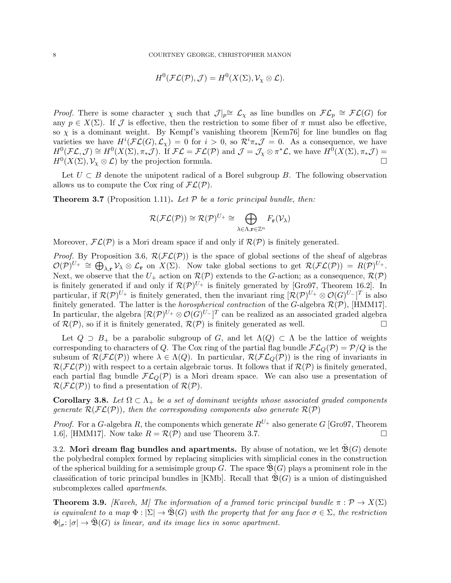$$
H^0(\mathcal{FL}(\mathcal{P}), \mathcal{J}) = H^0(X(\Sigma), \mathcal{V}_{\chi} \otimes \mathcal{L}).
$$

*Proof.* There is some character  $\chi$  such that  $\mathcal{J}|_p \cong \mathcal{L}_\chi$  as line bundles on  $\mathcal{FL}_p \cong \mathcal{FL}(G)$  for any  $p \in X(\Sigma)$ . If J is effective, then the restriction to some fiber of  $\pi$  must also be effective, so  $\chi$  is a dominant weight. By Kempf's vanishing theorem [Kem76] for line bundles on flag varieties we have  $H^i(\mathcal{FL}(G), \mathcal{L}_\chi) = 0$  for  $i > 0$ , so  $\mathcal{R}^i \pi_* \mathcal{J} = 0$ . As a consequence, we have  $H^0(\mathcal{FL},\mathcal{J})\cong H^0(X(\Sigma),\pi_*\mathcal{J}).$  If  $\mathcal{FL}=\mathcal{FL}(\mathcal{P})$  and  $\mathcal{J}=\mathcal{J}_\chi\otimes\pi^*\mathcal{L},$  we have  $H^0(X(\Sigma),\pi_*\mathcal{J})=$  $H^0(X(\Sigma), \mathcal{V}_\chi \otimes \mathcal{L})$  by the projection formula.

Let  $U \subset B$  denote the unipotent radical of a Borel subgroup B. The following observation allows us to compute the Cox ring of  $FL(\mathcal{P})$ .

**Theorem 3.7** (Proposition 1.11). Let  $\mathcal P$  be a toric principal bundle, then:

$$
\mathcal{R}(\mathcal{FL}(\mathcal{P})) \cong \mathcal{R}(\mathcal{P})^{U_+} \cong \bigoplus_{\lambda \in \Lambda, \mathbf{r} \in \mathbb{Z}^n} F_{\mathbf{r}}(\mathcal{V}_{\lambda})
$$

Moreover,  $\mathcal{FL}(\mathcal{P})$  is a Mori dream space if and only if  $\mathcal{R}(\mathcal{P})$  is finitely generated.

*Proof.* By Proposition 3.6,  $\mathcal{R}(\mathcal{FL}(\mathcal{P}))$  is the space of global sections of the sheaf of algebras  $\mathcal{O}(\mathcal{P})^{U_+} \cong \bigoplus_{\lambda,\mathbf{r}} V_{\lambda} \otimes \mathcal{L}_{\mathbf{r}}$  on  $X(\Sigma)$ . Now take global sections to get  $\mathcal{R}(\mathcal{FL}(\mathcal{P})) = R(\mathcal{P})^{U_+}$ . Next, we observe that the  $U_+$  action on  $\mathcal{R}(\mathcal{P})$  extends to the G-action; as a consequence,  $\mathcal{R}(\mathcal{P})$ is finitely generated if and only if  $\mathcal{R}(\mathcal{P})^{U_+}$  is finitely generated by [Gro97, Theorem 16.2]. In particular, if  $\mathcal{R}(\mathcal{P})^{U_+}$  is finitely generated, then the invariant ring  $[\mathcal{R}(\mathcal{P})^{U_+} \otimes \mathcal{O}(G)^{U_-}]^T$  is also finitely generated. The latter is the *horospherical contraction* of the  $G$ -algebra  $\mathcal{R}(\mathcal{P})$ , [HMM17]. In particular, the algebra  $[{\cal R}(P)^{U_+}\otimes{\cal O}(G)^{U_-}]^T$  can be realized as an associated graded algebra of  $\mathcal{R}(\mathcal{P})$ , so if it is finitely generated,  $\mathcal{R}(\mathcal{P})$  is finitely generated as well.

Let  $Q \supset B_+$  be a parabolic subgroup of G, and let  $\Lambda(Q) \subset \Lambda$  be the lattice of weights corresponding to characters of Q. The Cox ring of the partial flag bundle  $\mathcal{FL}_Q(\mathcal{P}) = \mathcal{P}/Q$  is the subsum of  $\mathcal{R}(\mathcal{FL}(\mathcal{P}))$  where  $\lambda \in \Lambda(Q)$ . In particular,  $\mathcal{R}(\mathcal{FL}_{Q}(\mathcal{P}))$  is the ring of invariants in  $\mathcal{R}(\mathcal{FL}(\mathcal{P}))$  with respect to a certain algebraic torus. It follows that if  $\mathcal{R}(\mathcal{P})$  is finitely generated, each partial flag bundle  $FL_Q(\mathcal{P})$  is a Mori dream space. We can also use a presentation of  $\mathcal{R}(\mathcal{FL}(\mathcal{P}))$  to find a presentation of  $\mathcal{R}(\mathcal{P})$ .

**Corollary 3.8.** Let  $\Omega \subset \Lambda_+$  be a set of dominant weights whose associated graded components generate  $\mathcal{R}(\mathcal{FL}(\mathcal{P}))$ , then the corresponding components also generate  $\mathcal{R}(\mathcal{P})$ 

*Proof.* For a G-algebra R, the components which generate  $R^{U_+}$  also generate G [Gro97, Theorem 1.6], [HMM17]. Now take  $R = \mathcal{R}(\mathcal{P})$  and use Theorem 3.7.

3.2. Mori dream flag bundles and apartments. By abuse of notation, we let  $\mathfrak{B}(G)$  denote the polyhedral complex formed by replacing simplicies with simplicial cones in the construction of the spherical building for a semisimple group G. The space  $\mathfrak{B}(G)$  plays a prominent role in the classification of toric principal bundles in [KMb]. Recall that  $\mathfrak{B}(G)$  is a union of distinguished subcomplexes called apartments.

**Theorem 3.9.** [Kaveh, M] The information of a framed toric principal bundle  $\pi : \mathcal{P} \to X(\Sigma)$ ] is equivalent to a map  $\Phi : |\Sigma| \to \tilde{\mathfrak{B}}(G)$  with the property that for any face  $\sigma \in \Sigma$ , the restriction  $\Phi|_{\sigma}: |\sigma| \to \tilde{\mathfrak{B}}(G)$  is linear, and its image lies in some apartment.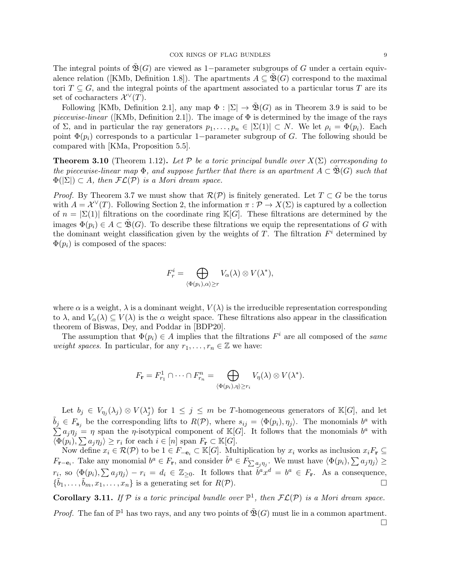The integral points of  $\mathfrak{B}(G)$  are viewed as 1−parameter subgroups of G under a certain equivalence relation ([KMb, Definition 1.8]). The apartments  $A \subseteq \mathfrak{B}(G)$  correspond to the maximal tori  $T \subseteq G$ , and the integral points of the apartment associated to a particular torus T are its set of cocharacters  $\mathcal{X}^{\vee}(T)$ .

Following [KMb, Definition 2.1], any map  $\Phi : |\Sigma| \to \mathfrak{B}(G)$  as in Theorem 3.9 is said to be piecewise-linear ([KMb, Definition 2.1]). The image of  $\Phi$  is determined by the image of the rays of  $\Sigma$ , and in particular the ray generators  $p_1, \ldots, p_n \in |\Sigma(1)| \subset N$ . We let  $\rho_i = \Phi(p_i)$ . Each point  $\Phi(p_i)$  corresponds to a particular 1−parameter subgroup of G. The following should be compared with [KMa, Proposition 5.5].

**Theorem 3.10** (Theorem 1.12). Let P be a toric principal bundle over  $X(\Sigma)$  corresponding to the piecewise-linear map  $\Phi$ , and suppose further that there is an apartment  $A \subset \tilde{\mathfrak{B}}(G)$  such that  $\Phi(|\Sigma|) \subset A$ , then  $\mathcal{FL}(\mathcal{P})$  is a Mori dream space.

*Proof.* By Theorem 3.7 we must show that  $\mathcal{R}(\mathcal{P})$  is finitely generated. Let  $T \subset G$  be the torus with  $A = \mathcal{X}^{\vee}(T)$ . Following Section 2, the information  $\pi : \mathcal{P} \to X(\Sigma)$  is captured by a collection of  $n = |\Sigma(1)|$  filtrations on the coordinate ring K[G]. These filtrations are determined by the images  $\Phi(p_i) \in A \subset \tilde{\mathfrak{B}}(G)$ . To describe these filtrations we equip the representations of G with the dominant weight classification given by the weights of  $T$ . The filtration  $F<sup>i</sup>$  determined by  $\Phi(p_i)$  is composed of the spaces:

$$
F_r^i = \bigoplus_{\langle \Phi(p_i), \alpha \rangle \ge r} V_\alpha(\lambda) \otimes V(\lambda^*),
$$

where  $\alpha$  is a weight,  $\lambda$  is a dominant weight,  $V(\lambda)$  is the irreducible representation corresponding to  $\lambda$ , and  $V_{\alpha}(\lambda) \subseteq V(\lambda)$  is the  $\alpha$  weight space. These filtrations also appear in the classification theorem of Biswas, Dey, and Poddar in [BDP20].

The assumption that  $\Phi(p_i) \in A$  implies that the filtrations  $F^i$  are all composed of the same *weight spaces.* In particular, for any  $r_1, \ldots, r_n \in \mathbb{Z}$  we have:

$$
F_{\mathbf{r}} = F_{r_1}^1 \cap \cdots \cap F_{r_n}^n = \bigoplus_{\langle \Phi(p_i), \eta \rangle \geq r_i} V_{\eta}(\lambda) \otimes V(\lambda^*).
$$

Let  $b_j \in V_{\eta_j}(\lambda_j) \otimes V(\lambda_j^*)$  for  $1 \leq j \leq m$  be T-homogeneous generators of  $\mathbb{K}[G]$ , and let  $\tilde{b}_j \in F_{\mathbf{s}_j}$  be the corresponding lifts to  $R(\mathcal{P})$ , where  $s_{ij} = \langle \Phi(p_i), \eta_j \rangle$ . The monomials  $b^a$  with  $\sum a_j \eta_j = \eta$  span the *η*-isotypical component of K[G]. It follows that the monomials  $b^a$  with  $\langle \Phi(p_i), \sum a_j \eta_j \rangle \geq r_i$  for each  $i \in [n]$  span  $F_r \subset \mathbb{K}[G]$ .

Now define  $x_i \in \mathcal{R}(\mathcal{P})$  to be  $1 \in F_{-\mathbf{e}_i} \subset \mathbb{K}[G]$ . Multiplication by  $x_i$  works as inclusion  $x_i F_{\mathbf{r}} \subseteq$  $F_{\mathbf{r}-\mathbf{e}_i}$ . Take any monomial  $b^a \in F_{\mathbf{r}}$ , and consider  $\tilde{b}^a \in F_{\sum a_j \eta_j}$ . We must have  $\langle \Phi(p_i), \sum a_j \eta_j \rangle \ge$  $r_i$ , so  $\langle \Phi(p_i), \sum a_j \eta_j \rangle - r_i = d_i \in \mathbb{Z}_{\geq 0}$ . It follows that  $\tilde{b}^a x^d = b^a \in F_r$ . As a consequence,  $\{\tilde{b}_1, \ldots, \tilde{b}_m, x_1, \ldots, x_n\}$  is a generating set for  $R(\mathcal{P})$ .

**Corollary 3.11.** If  $P$  is a toric principal bundle over  $\mathbb{P}^1$ , then  $\mathcal{FL}(P)$  is a Mori dream space.

*Proof.* The fan of  $\mathbb{P}^1$  has two rays, and any two points of  $\tilde{\mathfrak{B}}(G)$  must lie in a common apartment.  $\Box$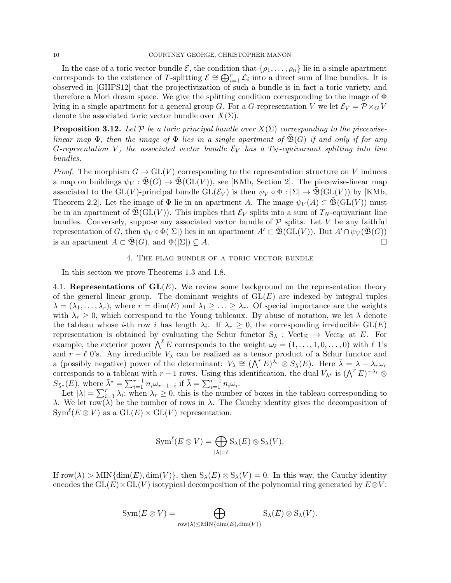In the case of a toric vector bundle  $\mathcal{E}$ , the condition that  $\{\rho_1, \ldots, \rho_n\}$  lie in a single apartment corresponds to the existence of T-splitting  $\mathcal{E} \cong \bigoplus_{i=1}^r \mathcal{L}_i$  into a direct sum of line bundles. It is observed in [GHPS12] that the projectivization of such a bundle is in fact a toric variety, and therefore a Mori dream space. We give the splitting condition corresponding to the image of  $\Phi$ lying in a single apartment for a general group G. For a G-representation V we let  $\mathcal{E}_V = \mathcal{P} \times_G V$ denote the associated toric vector bundle over  $X(\Sigma)$ .

**Proposition 3.12.** Let P be a toric principal bundle over  $X(\Sigma)$  corresponding to the piecewiselinear map  $\Phi$ , then the image of  $\Phi$  lies in a single apartment of  $\mathfrak{B}(G)$  if and only if for any G-reprsentation V, the associated vector bundle  $\mathcal{E}_V$  has a  $T_N$ -equivariant splitting into line bundles.

*Proof.* The morphism  $G \to GL(V)$  corresponding to the representation structure on V induces a map on buildings  $\psi_V : \tilde{\mathfrak{B}}(G) \to \tilde{\mathfrak{B}}(\text{GL}(V))$ , see [KMb, Section 2]. The piecewise-linear map associated to the GL(V)-principal bundle  $GL(\mathcal{E}_V)$  is then  $\psi_V \circ \Phi : |\Sigma| \to \mathfrak{B}(GL(V))$  by [KMb, Theorem 2.2]. Let the image of  $\Phi$  lie in an apartment A. The image  $\psi_V(A) \subset \tilde{\mathfrak{B}}(\text{GL}(V))$  must be in an apartment of  $\mathfrak{B}(GL(V))$ . This implies that  $\mathcal{E}_V$  splits into a sum of  $T_N$ -equivariant line bundles. Conversely, suppose any associated vector bundle of  $P$  splits. Let V be any faithful representation of G, then  $\psi_V \circ \Phi(|\Sigma|)$  lies in an apartment  $A' \subset \mathfrak{B}(\mathrm{GL}(V))$ . But  $A' \cap \psi_V(\mathfrak{B}(G))$ is an apartment  $A \subset \mathfrak{B}(G)$ , and  $\Phi(|\Sigma|) \subseteq A$ .

### 4. The flag bundle of a toric vector bundle

In this section we prove Theorems 1.3 and 1.8.

4.1. Representations of  $GL(E)$ . We review some background on the representation theory of the general linear group. The dominant weights of  $GL(E)$  are indexed by integral tuples  $\lambda = (\lambda_1, \ldots, \lambda_r)$ , where  $r = \dim(E)$  and  $\lambda_1 \geq \ldots \geq \lambda_r$ . Of special importance are the weights with  $\lambda_r \geq 0$ , which correspond to the Young tableaux. By abuse of notation, we let  $\lambda$  denote the tableau whose *i*-th row *i* has length  $\lambda_i$ . If  $\lambda_r \geq 0$ , the corresponding irreducible  $GL(E)$ representation is obtained by evaluating the Schur functor  $S_\lambda$ : Vect<sub>K</sub>  $\rightarrow$  Vect<sub>K</sub> at E. For example, the exterior power  $\bigwedge^{\ell} E$  corresponds to the weight  $\omega_{\ell} = (1, \ldots, 1, 0, \ldots, 0)$  with  $\ell$  1's and  $r - \ell$  0's. Any irreducible  $V_{\lambda}$  can be realized as a tensor product of a Schur functor and a (possibly negative) power of the determinant:  $V_{\lambda} \cong (\bigwedge^r E)^{\hat{\lambda_r}} \otimes S_{\bar{\lambda}}(E)$ . Here  $\bar{\lambda} = \lambda - \lambda_r \omega_r$ corresponds to a tableau with  $r-1$  rows. Using this identification, the dual  $V_{\lambda^*}$  is  $(\bigwedge^r E)^{-\lambda_r} \otimes$  $S_{\bar{\lambda}^*}(E)$ , where  $\bar{\lambda}^* = \sum_{i=1}^{r-1} n_i \omega_{r-1-i}$  if  $\bar{\lambda} = \sum_{i=1}^{r-1} n_i \omega_i$ .

Let  $|\lambda| = \sum_{i=1}^r \lambda_i$ ; when  $\lambda_r \geq 0$ , this is the number of boxes in the tableau corresponding to λ. We let row(λ) be the number of rows in λ. The Cauchy identity gives the decomposition of  $Sym^{\ell}(E \otimes V)$  as a  $GL(E) \times GL(V)$  representation:

$$
\operatorname{Sym}^{\ell}(E \otimes V) = \bigoplus_{|\lambda|=\ell} \operatorname{S}_{\lambda}(E) \otimes \operatorname{S}_{\lambda}(V).
$$

If  $\text{row}(\lambda) > \text{MIN}\{\dim(E), \dim(V)\}\$ , then  $S_{\lambda}(E) \otimes S_{\lambda}(V) = 0$ . In this way, the Cauchy identity encodes the  $GL(E)\times GL(V)$  isotypical decomposition of the polynomial ring generated by  $E\otimes V$ :

$$
Sym(E \otimes V) = \bigoplus_{\text{row}(\lambda) \leq MIN\{\dim(E), \dim(V)\}} S_{\lambda}(E) \otimes S_{\lambda}(V).
$$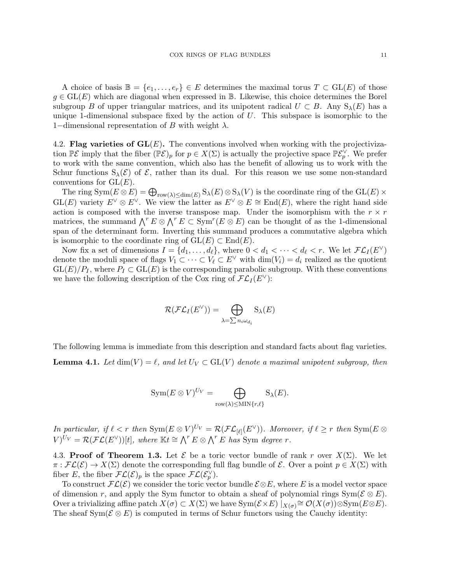A choice of basis  $\mathbb{B} = \{e_1, \ldots, e_r\} \in E$  determines the maximal torus  $T \subset GL(E)$  of those  $g \in GL(E)$  which are diagonal when expressed in B. Likewise, this choice determines the Borel subgroup B of upper triangular matrices, and its unipotent radical  $U \subset B$ . Any  $S_\lambda(E)$  has a unique 1-dimensional subspace fixed by the action of  $U$ . This subspace is isomorphic to the 1–dimensional representation of B with weight  $\lambda$ .

4.2. Flag varieties of  $GL(E)$ . The conventions involved when working with the projectivization  $\mathbb{P}{\mathcal{E}}$  imply that the fiber  $(\mathbb{P}{\mathcal{E}})_p$  for  $p \in X(\Sigma)$  is actually the projective space  $\mathbb{P}{\mathcal{E}}_p^{\vee}$ . We prefer to work with the same convention, which also has the benefit of allowing us to work with the Schur functions  $S_\lambda(\mathcal{E})$  of  $\mathcal{E}$ , rather than its dual. For this reason we use some non-standard conventions for  $GL(E)$ .

The ring  $Sym(E \otimes E) = \bigoplus_{row(\lambda) \le dim(E)} S_{\lambda}(E) \otimes S_{\lambda}(V)$  is the coordinate ring of the  $GL(E) \times$  $GL(E)$  variety  $E^{\vee} \otimes E^{\vee}$ . We view the latter as  $E^{\vee} \otimes E \cong End(E)$ , where the right hand side action is composed with the inverse transpose map. Under the isomorphism with the  $r \times r$ matrices, the summand  $\bigwedge^r E \otimes \bigwedge^r E \subset \text{Sym}^r(E \otimes E)$  can be thought of as the 1-dimensional span of the determinant form. Inverting this summand produces a commutative algebra which is isomorphic to the coordinate ring of  $GL(E) \subset End(E)$ .

Now fix a set of dimensions  $I = \{d_1, \ldots, d_\ell\}$ , where  $0 < d_1 < \cdots < d_\ell < r$ . We let  $\mathcal{FL}_I(E^{\vee})$ denote the moduli space of flags  $V_1 \subset \cdots \subset V_\ell \subset E^\vee$  with  $\dim(V_i) = d_i$  realized as the quotient  $GL(E)/P_I$ , where  $P_I \subset GL(E)$  is the corresponding parabolic subgroup. With these conventions we have the following description of the Cox ring of  $\mathcal{FL}_I(E^{\vee})$ :

$$
\mathcal{R}(\mathcal{FL}_I(E^{\vee})) = \bigoplus_{\lambda = \sum n_i \omega_{d_i}} S_{\lambda}(E)
$$

The following lemma is immediate from this description and standard facts about flag varieties.

**Lemma 4.1.** Let  $\dim(V) = \ell$ , and let  $U_V \subset GL(V)$  denote a maximal unipotent subgroup, then

$$
Sym(E \otimes V)^{U_V} = \bigoplus_{\text{row}(\lambda) \leq MIN\{r,\ell\}} S_{\lambda}(E).
$$

In particular, if  $\ell < r$  then  $\text{Sym}(E \otimes V)^{U_V} = \mathcal{R}(\mathcal{FL}_{[\ell]}(E^{\vee}))$ . Moreover, if  $\ell \geq r$  then  $\text{Sym}(E \otimes E)$  $V^{(V)}(V) = \mathcal{R}( \mathcal{FL}(E^{\vee}))[t],$  where  $\mathbb{K}t \cong \bigwedge^r E \otimes \bigwedge^r E$  has Sym degree r.

4.3. Proof of Theorem 1.3. Let  $\mathcal E$  be a toric vector bundle of rank r over  $X(\Sigma)$ . We let  $\pi : \mathcal{FL}(\mathcal{E}) \to X(\Sigma)$  denote the corresponding full flag bundle of  $\mathcal{E}$ . Over a point  $p \in X(\Sigma)$  with fiber E, the fiber  $\mathcal{FL}(\mathcal{E})_p$  is the space  $\mathcal{FL}(\mathcal{E}_p^{\vee})$ .

To construct  $\mathcal{FL}(\mathcal{E})$  we consider the toric vector bundle  $\mathcal{E} \otimes E$ , where E is a model vector space of dimension r, and apply the Sym functor to obtain a sheaf of polynomial rings  $Sym(\mathcal{E} \otimes E)$ . Over a trivializing affine patch  $X(\sigma) \subset X(\Sigma)$  we have  $Sym(\mathcal{E} \times E)$   $|_{X(\sigma)} \cong \mathcal{O}(X(\sigma)) \otimes Sym(E \otimes E)$ . The sheaf Sym( $\mathcal{E} \otimes E$ ) is computed in terms of Schur functors using the Cauchy identity: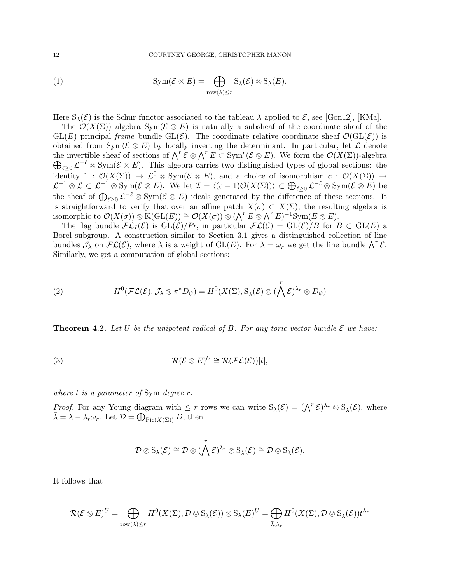(1) 
$$
\mathrm{Sym}(\mathcal{E}\otimes E)=\bigoplus_{\mathrm{row}(\lambda)\leq r}\mathrm{S}_{\lambda}(\mathcal{E})\otimes\mathrm{S}_{\lambda}(E).
$$

Here  $S_\lambda(\mathcal{E})$  is the Schur functor associated to the tableau  $\lambda$  applied to  $\mathcal{E}$ , see [Gon12], [KMa].

The  $\mathcal{O}(X(\Sigma))$  algebra Sym( $\mathcal{E} \otimes E$ ) is naturally a subsheaf of the coordinate sheaf of the  $GL(E)$  principal frame bundle  $GL(\mathcal{E})$ . The coordinate relative coordinate sheaf  $\mathcal{O}(GL(\mathcal{E}))$  is obtained from  $Sym(\mathcal{E} \otimes E)$  by locally inverting the determinant. In particular, let  $\mathcal{L}$  denote the invertible sheaf of sections of  $\bigwedge^r \mathcal{E} \otimes \bigwedge^r E \subset \text{Sym}^r(\mathcal{E} \otimes E)$ . We form the  $\mathcal{O}(X(\Sigma))$ -algebra  $\bigoplus_{\ell \geq 0} \mathcal{L}^{-\ell} \otimes \text{Sym}(\mathcal{E} \otimes E)$ . This algebra carries two distinguished types of global sections: the identity 1 :  $\mathcal{O}(X(\Sigma)) \to \mathcal{L}^0 \otimes \text{Sym}(\mathcal{E} \otimes E)$ , and a choice of isomorphism  $c : \mathcal{O}(X(\Sigma)) \to$  $\mathcal{L}^{-1}\otimes\mathcal{L}\subset\mathcal{L}^{-1}\otimes\mathrm{Sym}(\mathcal{E}\otimes E).$  We let  $\mathcal{I}=\langle(c-1)\mathcal{O}(X(\Sigma))\rangle\subset\bigoplus_{\ell\geq0}\mathcal{L}^{-\ell}\otimes\mathrm{Sym}(\mathcal{E}\otimes E)$  be the sheaf of  $\bigoplus_{\ell \geq 0} \mathcal{L}^{-\ell} \otimes \text{Sym}(\mathcal{E} \otimes E)$  ideals generated by the difference of these sections. It is straightforward to verify that over an affine patch  $X(\sigma) \subset X(\Sigma)$ , the resulting algebra is isomorphic to  $\mathcal{O}(X(\sigma))\otimes \mathbb{K}(\mathrm{GL}(E))\cong \mathcal{O}(X(\sigma))\otimes (\bigwedge^r E\otimes \bigwedge^r E)^{-1}\mathrm{Sym}(E\otimes E).$ 

The flag bundle  $\mathcal{FL}_I(\mathcal{E})$  is  $GL(\mathcal{E})/P_I$ , in particular  $\mathcal{FL}(\mathcal{E}) = GL(\mathcal{E})/B$  for  $B \subset GL(E)$  a Borel subgroup. A construction similar to Section 3.1 gives a distinguished collection of line bundles  $\mathcal{J}_{\lambda}$  on  $\mathcal{FL}(\mathcal{E})$ , where  $\lambda$  is a weight of GL(E). For  $\lambda = \omega_r$  we get the line bundle  $\bigwedge^r \mathcal{E}$ . Similarly, we get a computation of global sections:

(2) 
$$
H^{0}(\mathcal{FL}(\mathcal{E}), \mathcal{J}_{\lambda} \otimes \pi^{*} D_{\psi}) = H^{0}(X(\Sigma), \mathbf{S}_{\bar{\lambda}}(\mathcal{E}) \otimes (\bigwedge^{r} \mathcal{E})^{\lambda_{r}} \otimes D_{\psi})
$$

**Theorem 4.2.** Let U be the unipotent radical of B. For any toric vector bundle  $\mathcal{E}$  we have:

(3) 
$$
\mathcal{R}(\mathcal{E} \otimes E)^U \cong \mathcal{R}(\mathcal{FL}(\mathcal{E}))[t],
$$

where  $t$  is a parameter of Sym degree  $r$ .

*Proof.* For any Young diagram with  $\leq r$  rows we can write  $S_{\lambda}(\mathcal{E}) = (\bigwedge^{r} \mathcal{E})^{\lambda_{r}} \otimes S_{\overline{\lambda}}(\mathcal{E})$ , where  $\bar{\lambda} = \lambda - \lambda_r \omega_r$ . Let  $\mathcal{D} = \bigoplus_{\text{Pic}(X(\Sigma))} D$ , then

$$
\mathcal{D}\otimes \mathrm{S}_{\lambda}(\mathcal{E})\cong \mathcal{D}\otimes (\bigwedge^r\mathcal{E})^{\lambda_r}\otimes \mathrm{S}_{\bar{\lambda}}(\mathcal{E})\cong \mathcal{D}\otimes \mathrm{S}_{\bar{\lambda}}(\mathcal{E}).
$$

It follows that

$$
\mathcal{R}(\mathcal{E}\otimes E)^{U}=\bigoplus_{\text{row}(\lambda)\leq r}H^{0}(X(\Sigma),\mathcal{D}\otimes \text{S}_{\bar{\lambda}}(\mathcal{E}))\otimes \text{S}_{\lambda}(E)^{U}=\bigoplus_{\bar{\lambda},\lambda_{r}}H^{0}(X(\Sigma),\mathcal{D}\otimes \text{S}_{\bar{\lambda}}(\mathcal{E}))t^{\lambda_{r}}
$$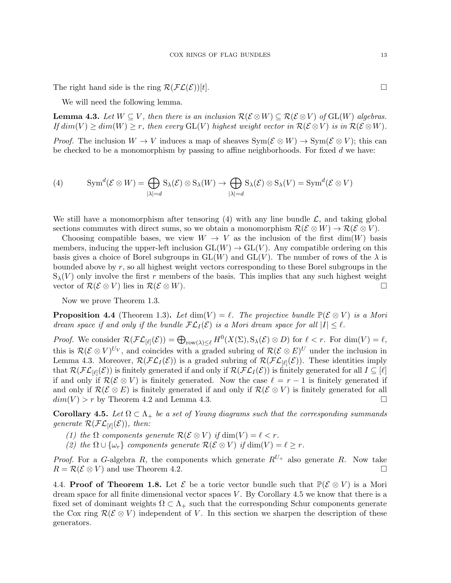The right hand side is the ring  $\mathcal{R}(\mathcal{FL}(\mathcal{E}))[t]$ .

We will need the following lemma.

**Lemma 4.3.** Let  $W \subseteq V$ , then there is an inclusion  $\mathcal{R}(\mathcal{E} \otimes W) \subseteq \mathcal{R}(\mathcal{E} \otimes V)$  of  $GL(W)$  algebras. If  $dim(V) \geq dim(W) \geq r$ , then every GL(V) highest weight vector in  $\mathcal{R}(\mathcal{E} \otimes V)$  is in  $\mathcal{R}(\mathcal{E} \otimes W)$ .

*Proof.* The inclusion  $W \to V$  induces a map of sheaves  $Sym(\mathcal{E} \otimes W) \to Sym(\mathcal{E} \otimes V)$ ; this can be checked to be a monomorphism by passing to affine neighborhoods. For fixed  $d$  we have:

(4) 
$$
\mathrm{Sym}^d(\mathcal{E}\otimes W)=\bigoplus_{|\lambda|=d}\mathrm{S}_{\lambda}(\mathcal{E})\otimes\mathrm{S}_{\lambda}(W)\to\bigoplus_{|\lambda|=d}\mathrm{S}_{\lambda}(\mathcal{E})\otimes\mathrm{S}_{\lambda}(V)=\mathrm{Sym}^d(\mathcal{E}\otimes V)
$$

We still have a monomorphism after tensoring  $(4)$  with any line bundle  $\mathcal{L}$ , and taking global sections commutes with direct sums, so we obtain a monomorphism  $\mathcal{R}(\mathcal{E} \otimes W) \to \mathcal{R}(\mathcal{E} \otimes V)$ .

Choosing compatible bases, we view  $W \to V$  as the inclusion of the first dim(W) basis members, inducing the upper-left inclusion  $GL(W) \to GL(V)$ . Any compatible ordering on this basis gives a choice of Borel subgroups in  $GL(W)$  and  $GL(V)$ . The number of rows of the  $\lambda$  is bounded above by r, so all highest weight vectors corresponding to these Borel subgroups in the  $S_{\lambda}(V)$  only involve the first r members of the basis. This implies that any such highest weight vector of  $\mathcal{R}(\mathcal{E} \otimes V)$  lies in  $\mathcal{R}(\mathcal{E} \otimes W)$ .

Now we prove Theorem 1.3.

**Proposition 4.4** (Theorem 1.3). Let  $dim(V) = \ell$ . The projective bundle  $\mathbb{P}(\mathcal{E} \otimes V)$  is a Mori dream space if and only if the bundle  $\mathcal{FL}_I(\mathcal{E})$  is a Mori dream space for all  $|I| \leq \ell$ .

*Proof.* We consider  $\mathcal{R}(\mathcal{FL}_{[\ell]}(\mathcal{E})) = \bigoplus_{\text{row}(\lambda) \leq \ell} H^0(X(\Sigma), S_{\lambda}(\mathcal{E}) \otimes D)$  for  $\ell < r$ . For  $\dim(V) = \ell$ , this is  $\mathcal{R}(\mathcal{E}\otimes V)^{U_V}$ , and coincides with a graded subring of  $\mathcal{R}(\mathcal{E}\otimes E)^U$  under the inclusion in Lemma 4.3. Moreover,  $\mathcal{R}(\mathcal{FL}_I(\mathcal{E}))$  is a graded subring of  $\mathcal{R}(\mathcal{FL}_{[\ell]}(\mathcal{E}))$ . These identities imply that  $\mathcal{R}(\mathcal{FL}_{[\ell]}(\mathcal{E}))$  is finitely generated if and only if  $\mathcal{R}(\mathcal{FL}_{I}(\mathcal{E}))$  is finitely generated for all  $I \subseteq [\ell]$ if and only if  $\mathcal{R}(\mathcal{E} \otimes V)$  is finitely generated. Now the case  $\ell = r - 1$  is finitely generated if and only if  $\mathcal{R}(\mathcal{E} \otimes E)$  is finitely generated if and only if  $\mathcal{R}(\mathcal{E} \otimes V)$  is finitely generated for all  $dim(V) > r$  by Theorem 4.2 and Lemma 4.3.

Corollary 4.5. Let  $\Omega \subset \Lambda_+$  be a set of Young diagrams such that the corresponding summands generate  $\mathcal{R}(\mathcal{FL}_{[\ell]}(\mathcal{E}))$ , then:

(1) the  $\Omega$  components generate  $\mathcal{R}(\mathcal{E} \otimes V)$  if  $\dim(V) = \ell < r$ .

(2) the  $\Omega \cup {\omega_r}$  components generate  $\mathcal{R}(\mathcal{E} \otimes V)$  if  $\dim(V) = \ell \geq r$ .

*Proof.* For a G-algebra R, the components which generate  $R^{U_+}$  also generate R. Now take  $R = \mathcal{R}(\mathcal{E} \otimes V)$  and use Theorem 4.2.

4.4. Proof of Theorem 1.8. Let  $\mathcal{E}$  be a toric vector bundle such that  $\mathbb{P}(\mathcal{E} \otimes V)$  is a Mori dream space for all finite dimensional vector spaces  $V$ . By Corollary 4.5 we know that there is a fixed set of dominant weights  $\Omega \subset \Lambda_+$  such that the corresponding Schur components generate the Cox ring  $\mathcal{R}(\mathcal{E} \otimes V)$  independent of V. In this section we sharpen the description of these generators.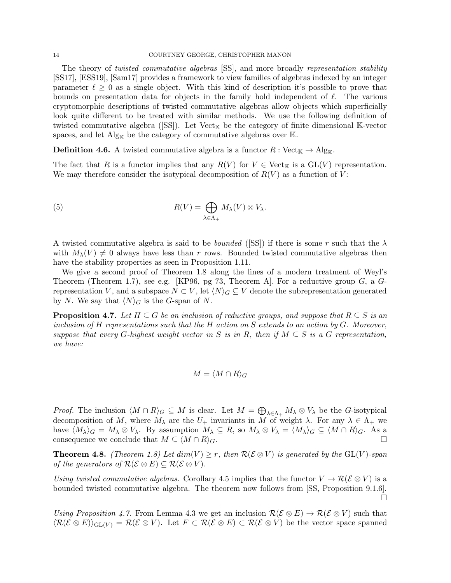#### 14 COURTNEY GEORGE, CHRISTOPHER MANON

The theory of twisted commutative algebras [SS], and more broadly representation stability [SS17], [ESS19], [Sam17] provides a framework to view families of algebras indexed by an integer parameter  $\ell \geq 0$  as a single object. With this kind of description it's possible to prove that bounds on presentation data for objects in the family hold independent of  $\ell$ . The various cryptomorphic descriptions of twisted commutative algebras allow objects which superficially look quite different to be treated with similar methods. We use the following definition of twisted commutative algebra ( $\text{[SS]}$ ). Let Vect<sub>K</sub> be the category of finite dimensional K-vector spaces, and let  $\mathrm{Alg}_{\mathbb{K}}$  be the category of commutative algebras over K.

**Definition 4.6.** A twisted commutative algebra is a functor  $R : \text{Vect}_{\mathbb{K}} \to \text{Alg}_{\mathbb{K}}$ .

The fact that R is a functor implies that any  $R(V)$  for  $V \in \text{Vect}_{\mathbb{K}}$  is a  $GL(V)$  representation. We may therefore consider the isotypical decomposition of  $R(V)$  as a function of V:

(5) 
$$
R(V) = \bigoplus_{\lambda \in \Lambda_+} M_{\lambda}(V) \otimes V_{\lambda}.
$$

A twisted commutative algebra is said to be *bounded* ([SS]) if there is some r such that the  $\lambda$ with  $M_{\lambda}(V) \neq 0$  always have less than r rows. Bounded twisted commutative algebras then have the stability properties as seen in Proposition 1.11.

We give a second proof of Theorem 1.8 along the lines of a modern treatment of Weyl's Theorem (Theorem 1.7), see e.g. [KP96, pg 73, Theorem A]. For a reductive group  $G$ , a  $G$ representation V, and a subspace  $N \subset V$ , let  $\langle N \rangle_G \subseteq V$  denote the subrepresentation generated by N. We say that  $\langle N \rangle_G$  is the G-span of N.

**Proposition 4.7.** Let  $H \subseteq G$  be an inclusion of reductive groups, and suppose that  $R \subseteq S$  is an inclusion of H representations such that the H action on S extends to an action by  $G$ . Moreover, suppose that every G-highest weight vector in S is in R, then if  $M \subseteq S$  is a G representation, we have:

$$
M = \langle M \cap R \rangle_G
$$

*Proof.* The inclusion  $\langle M \cap R \rangle_G \subseteq M$  is clear. Let  $M = \bigoplus_{\lambda \in \Lambda_+} M_\lambda \otimes V_\lambda$  be the G-isotypical decomposition of M, where  $M_{\lambda}$  are the  $U_{+}$  invariants in M of weight  $\lambda$ . For any  $\lambda \in \Lambda_{+}$  we have  $\langle M_{\lambda} \rangle_G = M_{\lambda} \otimes V_{\lambda}$ . By assumption  $M_{\lambda} \subseteq R$ , so  $M_{\lambda} \otimes V_{\lambda} = \langle M_{\lambda} \rangle_G \subseteq \langle M \cap R \rangle_G$ . As a consequence we conclude that  $M \subseteq \langle M \cap R \rangle_G$ .

**Theorem 4.8.** (Theorem 1.8) Let  $dim(V) \geq r$ , then  $\mathcal{R}(\mathcal{E} \otimes V)$  is generated by the  $GL(V)$ -span of the generators of  $\mathcal{R}(\mathcal{E} \otimes E) \subseteq \mathcal{R}(\mathcal{E} \otimes V)$ .

Using twisted commutative algebras. Corollary 4.5 implies that the functor  $V \to \mathcal{R}(\mathcal{E} \otimes V)$  is a bounded twisted commutative algebra. The theorem now follows from [SS, Proposition 9.1.6].  $\Box$ 

Using Proposition 4.7. From Lemma 4.3 we get an inclusion  $\mathcal{R}(\mathcal{E} \otimes E) \to \mathcal{R}(\mathcal{E} \otimes V)$  such that  $\langle \mathcal{R}(\mathcal{E} \otimes E) \rangle_{\mathrm{GL}(V)} = \mathcal{R}(\mathcal{E} \otimes V)$ . Let  $F \subset \mathcal{R}(\mathcal{E} \otimes E) \subset \mathcal{R}(\mathcal{E} \otimes V)$  be the vector space spanned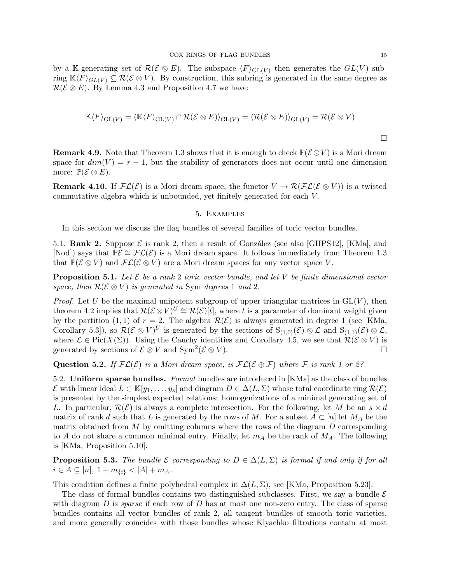by a K-generating set of  $\mathcal{R}(\mathcal{E} \otimes E)$ . The subspace  $\langle F \rangle_{\mathrm{GL}(V)}$  then generates the  $GL(V)$  subring  $\mathbb{K}\langle F\rangle_{GL(V)} \subseteq \mathcal{R}(\mathcal{E}\otimes V)$ . By construction, this subring is generated in the same degree as  $\mathcal{R}(\mathcal{E} \otimes E)$ . By Lemma 4.3 and Proposition 4.7 we have:

$$
\mathbb{K}\langle F\rangle_{\mathrm{GL}(V)}=\langle \mathbb{K}\langle F\rangle_{\mathrm{GL}(V)}\cap \mathcal{R}(\mathcal{E}\otimes E)\rangle_{\mathrm{GL}(V)}=\langle \mathcal{R}(\mathcal{E}\otimes E)\rangle_{\mathrm{GL}(V)}=\mathcal{R}(\mathcal{E}\otimes V)
$$

**Remark 4.9.** Note that Theorem 1.3 shows that it is enough to check  $\mathbb{P}(\mathcal{E} \otimes V)$  is a Mori dream space for  $dim(V) = r - 1$ , but the stability of generators does not occur until one dimension more:  $\mathbb{P}(\mathcal{E} \otimes E)$ .

**Remark 4.10.** If  $\mathcal{FL}(\mathcal{E})$  is a Mori dream space, the functor  $V \to \mathcal{R}(\mathcal{FL}(\mathcal{E} \otimes V))$  is a twisted commutative algebra which is unbounded, yet finitely generated for each V .

### 5. Examples

In this section we discuss the flag bundles of several families of toric vector bundles.

5.1. Rank 2. Suppose  $\mathcal E$  is rank 2, then a result of González (see also [GHPS12], [KMa], and [Nod]) says that  $\mathbb{P}\mathcal{E} \cong \mathcal{FL}(\mathcal{E})$  is a Mori dream space. It follows immediately from Theorem 1.3 that  $\mathbb{P}(\mathcal{E} \otimes V)$  and  $\mathcal{FL}(\mathcal{E} \otimes V)$  are a Mori dream spaces for any vector space V.

**Proposition 5.1.** Let  $\mathcal{E}$  be a rank 2 toric vector bundle, and let V be finite dimensional vector space, then  $\mathcal{R}(\mathcal{E} \otimes V)$  is generated in Sym degrees 1 and 2.

*Proof.* Let U be the maximal unipotent subgroup of upper triangular matrices in  $GL(V)$ , then theorem 4.2 implies that  $\mathcal{R}(\mathcal{E} \otimes V)^{U} \cong \mathcal{R}(\mathcal{E})[t]$ , where t is a parameter of dominant weight given by the partition (1, 1) of  $r = 2$ . The algebra  $\mathcal{R}(\mathcal{E})$  is always generated in degree 1 (see [KMa, Corollary 5.3, so  $\mathcal{R}(\mathcal{E} \otimes V)^U$  is generated by the sections of  $S_{(1,0)}(\mathcal{E}) \otimes \mathcal{L}$  and  $S_{(1,1)}(\mathcal{E}) \otimes \mathcal{L}$ , where  $\mathcal{L} \in \text{Pic}(X(\Sigma))$ . Using the Cauchy identities and Corollary 4.5, we see that  $\mathcal{R}(\mathcal{E} \otimes V)$  is generated by sections of  $\mathcal{E} \otimes V$  and  $\text{Sym}^2(\mathcal{E} \otimes V)$ .

Question 5.2. If  $FL(\mathcal{E})$  is a Mori dream space, is  $FL(\mathcal{E} \oplus \mathcal{F})$  where F is rank 1 or 2?

5.2. Uniform sparse bundles. Formal bundles are introduced in [KMa] as the class of bundles  $\mathcal E$  with linear ideal  $L \subset \mathbb K[y_1,\ldots,y_s]$  and diagram  $D \in \Delta(L,\Sigma)$  whose total coordinate ring  $\mathcal R(\mathcal E)$ is presented by the simplest expected relations: homogenizations of a minimal generating set of L. In particular,  $\mathcal{R}(\mathcal{E})$  is always a complete intersection. For the following, let M be an  $s \times d$ matrix of rank d such that L is generated by the rows of M. For a subset  $A \subset [n]$  let  $M_A$  be the matrix obtained from  $M$  by omitting columns where the rows of the diagram  $D$  corresponding to A do not share a common minimal entry. Finally, let  $m_A$  be the rank of  $M_A$ . The following is [KMa, Proposition 5.10].

**Proposition 5.3.** The bundle  $\mathcal{E}$  corresponding to  $D \in \Delta(L, \Sigma)$  is formal if and only if for all  $i \in A \subseteq [n], 1 + m_{\{i\}} < |A| + m_A.$ 

This condition defines a finite polyhedral complex in  $\Delta(L, \Sigma)$ , see [KMa, Proposition 5.23].

The class of formal bundles contains two distinguished subclasses. First, we say a bundle  $\mathcal E$ with diagram  $D$  is *sparse* if each row of  $D$  has at most one non-zero entry. The class of sparse bundles contains all vector bundles of rank 2, all tangent bundles of smooth toric varieties, and more generally coincides with those bundles whose Klyachko filtrations contain at most

 $\Box$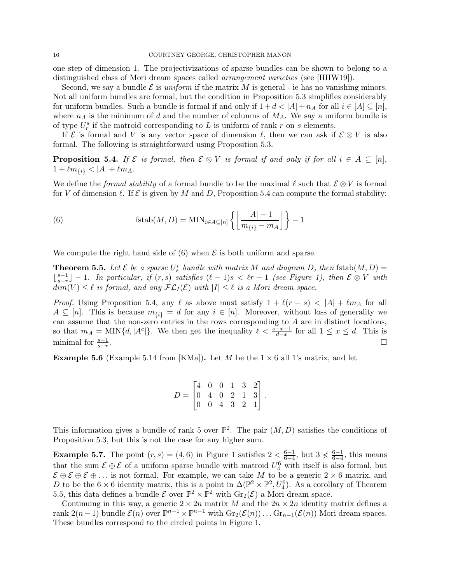one step of dimension 1. The projectivizations of sparse bundles can be shown to belong to a distinguished class of Mori dream spaces called arrangement varieties (see [HHW19]).

Second, we say a bundle  $\mathcal E$  is uniform if the matrix M is general - ie has no vanishing minors. Not all uniform bundles are formal, but the condition in Proposition 5.3 simplifies considerably for uniform bundles. Such a bundle is formal if and only if  $1 + d < |A| + n_A$  for all  $i \in [A] \subseteq [n]$ , where  $n_A$  is the minimum of d and the number of columns of  $M_A$ . We say a uniform bundle is of type  $U_r^s$  if the matroid corresponding to L is uniform of rank r on s elements.

If  $\mathcal E$  is formal and V is any vector space of dimension  $\ell$ , then we can ask if  $\mathcal E \otimes V$  is also formal. The following is straightforward using Proposition 5.3.

**Proposition 5.4.** If  $\mathcal{E}$  is formal, then  $\mathcal{E} \otimes V$  is formal if and only if for all  $i \in A \subseteq [n]$ ,  $1 + \ell m_{\{i\}} < |A| + \ell m_A.$ 

We define the *formal stability* of a formal bundle to be the maximal  $\ell$  such that  $\mathcal{E} \otimes V$  is formal for V of dimension  $\ell$ . If  $\mathcal E$  is given by M and D, Proposition 5.4 can compute the formal stability:

(6) 
$$
\text{fstab}(M, D) = \text{MIN}_{i \in A \subseteq [n]} \left\{ \left\lfloor \frac{|A| - 1}{m_{\{i\}} - m_A} \right\rfloor \right\} - 1
$$

We compute the right hand side of  $(6)$  when  $\mathcal E$  is both uniform and sparse.

**Theorem 5.5.** Let  $\mathcal{E}$  be a sparse  $U_s^r$  bundle with matrix M and diagram D, then fstab $(M, D)$  =  $\frac{s-1}{s-r}$  $\frac{s-1}{s-r}$ ] – 1. In particular, if  $(r, s)$  satisfies  $(\ell - 1)s < \ell r - 1$  (see Figure 1), then  $\mathcal{E} \otimes V$  with  $dim(V) \leq \ell$  is formal, and any  $FL_I(\mathcal{E})$  with  $|I| \leq \ell$  is a Mori dream space.

*Proof.* Using Proposition 5.4, any  $\ell$  as above must satisfy  $1 + \ell(r - s) < |A| + \ell m_A$  for all  $A \subseteq [n]$ . This is because  $m_{\{i\}} = d$  for any  $i \in [n]$ . Moreover, without loss of generality we can assume that the non-zero entries in the rows corresponding to A are in distinct locations, so that  $m_A = \text{MIN}\{d, |A^c|\}$ . We then get the inequality  $\ell < \frac{s-x-1}{d-x}$  for all  $1 \le x \le d$ . This is minimal for  $\frac{s-1}{s-r}$ .<br>1980 - Paul Barbara, política estadounidense de la propia de la propia de la propia de la propia de la propia<br>1980 - Paul Barbara, política estadounidense de la propia de la propia de la propia de la propia de la propia

**Example 5.6** (Example 5.14 from [KMa]). Let M be the  $1 \times 6$  all 1's matrix, and let

$$
D = \begin{bmatrix} 4 & 0 & 0 & 1 & 3 & 2 \\ 0 & 4 & 0 & 2 & 1 & 3 \\ 0 & 0 & 4 & 3 & 2 & 1 \end{bmatrix}.
$$

This information gives a bundle of rank 5 over  $\mathbb{P}^2$ . The pair  $(M, D)$  satisfies the conditions of Proposition 5.3, but this is not the case for any higher sum.

**Example 5.7.** The point  $(r, s) = (4, 6)$  in Figure 1 satisfies  $2 < \frac{6-1}{6-4}$  $\frac{6-1}{6-4}$ , but 3  $\nless$   $\frac{6-1}{6-4}$  $\frac{6-1}{6-4}$ , this means that the sum  $\mathcal{E} \oplus \mathcal{E}$  of a uniform sparse bundle with matroid  $U_4^6$  with itself is also formal, but  $\mathcal{E} \oplus \mathcal{E} \oplus \mathcal{E} \oplus \ldots$  is not formal. For example, we can take M to be a generic  $2 \times 6$  matrix, and D to be the  $6 \times 6$  identity matrix, this is a point in  $\Delta(\mathbb{P}^2 \times \mathbb{P}^2, U_4^6)$ . As a corollary of Theorem 5.5, this data defines a bundle  $\mathcal E$  over  $\mathbb P^2\times\mathbb P^2$  with  $\mathrm{Gr}_2(\mathcal E)$  a Mori dream space.

Continuing in this way, a generic  $2 \times 2n$  matrix M and the  $2n \times 2n$  identity matrix defines a rank  $2(n-1)$  bundle  $\mathcal{E}(n)$  over  $\mathbb{P}^{n-1} \times \mathbb{P}^{n-1}$  with  $\mathrm{Gr}_2(\mathcal{E}(n)) \dots \mathrm{Gr}_{n-1}(\mathcal{E}(n))$  Mori dream spaces. These bundles correspond to the circled points in Figure 1.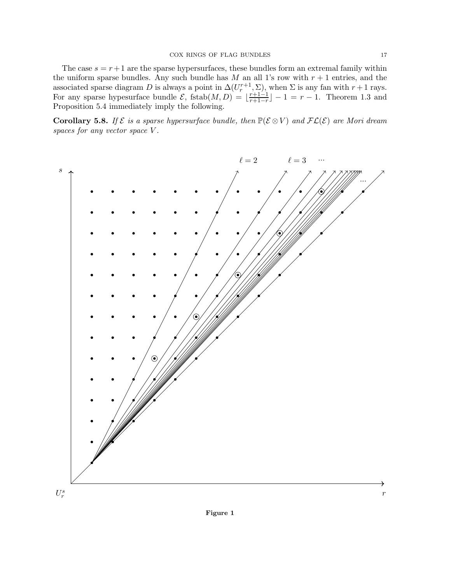The case  $s = r + 1$  are the sparse hypersurfaces, these bundles form an extremal family within the uniform sparse bundles. Any such bundle has M an all 1's row with  $r + 1$  entries, and the associated sparse diagram D is always a point in  $\Delta(U_r^{r+1}, \Sigma)$ , when  $\Sigma$  is any fan with  $r+1$  rays. For any sparse hypesurface bundle  $\mathcal{E}$ , fstab $(M, D) = \frac{r+1-1}{r+1-r}$  $\frac{r+1-1}{r+1-r}$  – 1 =  $r-1$ . Theorem 1.3 and Proposition 5.4 immediately imply the following.

**Corollary 5.8.** If  $\mathcal{E}$  is a sparse hypersurface bundle, then  $\mathbb{P}(\mathcal{E} \otimes V)$  and  $\mathcal{FL}(\mathcal{E})$  are Mori dream spaces for any vector space V.

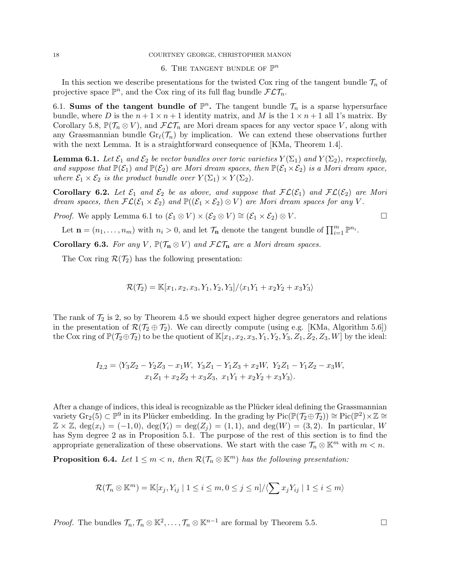#### 18 COURTNEY GEORGE, CHRISTOPHER MANON

# 6. THE TANGENT BUNDLE OF  $\mathbb{P}^n$

In this section we describe presentations for the twisted Cox ring of the tangent bundle  $\mathcal{T}_n$  of projective space  $\mathbb{P}^n$ , and the Cox ring of its full flag bundle  $\mathcal{FLT}_n$ .

6.1. Sums of the tangent bundle of  $\mathbb{P}^n$ . The tangent bundle  $\mathcal{T}_n$  is a sparse hypersurface bundle, where D is the  $n + 1 \times n + 1$  identity matrix, and M is the  $1 \times n + 1$  all 1's matrix. By Corollary 5.8,  $\mathbb{P}(\mathcal{T}_n \otimes V)$ , and  $\mathcal{FLT}_n$  are Mori dream spaces for any vector space V, along with any Grassmannian bundle  $\text{Gr}_{\ell}(\mathcal{T}_n)$  by implication. We can extend these observations further with the next Lemma. It is a straightforward consequence of [KMa, Theorem 1.4].

**Lemma 6.1.** Let  $\mathcal{E}_1$  and  $\mathcal{E}_2$  be vector bundles over toric varieties  $Y(\Sigma_1)$  and  $Y(\Sigma_2)$ , respectively, and suppose that  $\mathbb{P}(\mathcal{E}_1)$  and  $\mathbb{P}(\mathcal{E}_2)$  are Mori dream spaces, then  $\mathbb{P}(\mathcal{E}_1\times \mathcal{E}_2)$  is a Mori dream space, where  $\mathcal{E}_1 \times \mathcal{E}_2$  is the product bundle over  $Y(\Sigma_1) \times Y(\Sigma_2)$ .

Corollary 6.2. Let  $\mathcal{E}_1$  and  $\mathcal{E}_2$  be as above, and suppose that  $\mathcal{FL}(\mathcal{E}_1)$  and  $\mathcal{FL}(\mathcal{E}_2)$  are Mori dream spaces, then  $FL(\mathcal{E}_1 \times \mathcal{E}_2)$  and  $\mathbb{P}((\mathcal{E}_1 \times \mathcal{E}_2) \otimes V)$  are Mori dream spaces for any V.

*Proof.* We apply Lemma 6.1 to  $(\mathcal{E}_1 \otimes V) \times (\mathcal{E}_2 \otimes V) \cong (\mathcal{E}_1 \times \mathcal{E}_2) \otimes V$ .

Let  $\mathbf{n} = (n_1, \ldots, n_m)$  with  $n_i > 0$ , and let  $\mathcal{T}_n$  denote the tangent bundle of  $\prod_{i=1}^m \mathbb{P}^{n_i}$ .

Corollary 6.3. For any V,  $\mathbb{P}(\mathcal{T}_n \otimes V)$  and  $\mathcal{FLT}_n$  are a Mori dream spaces.

The Cox ring  $\mathcal{R}(\mathcal{T}_2)$  has the following presentation:

$$
\mathcal{R}(\mathcal{T}_2) = \mathbb{K}[x_1, x_2, x_3, Y_1, Y_2, Y_3]/\langle x_1Y_1 + x_2Y_2 + x_3Y_3 \rangle
$$

The rank of  $\mathcal{T}_2$  is 2, so by Theorem 4.5 we should expect higher degree generators and relations in the presentation of  $\mathcal{R}(\mathcal{T}_2 \oplus \mathcal{T}_2)$ . We can directly compute (using e.g. [KMa, Algorithm 5.6]) the Cox ring of  $\mathbb{P}(\mathcal{T}_2 \oplus \mathcal{T}_2)$  to be the quotient of  $\mathbb{K}[x_1, x_2, x_3, Y_1, Y_2, Y_3, Z_1, Z_2, Z_3, W]$  by the ideal:

$$
I_{2,2} = \langle Y_3 Z_2 - Y_2 Z_3 - x_1 W, Y_3 Z_1 - Y_1 Z_3 + x_2 W, Y_2 Z_1 - Y_1 Z_2 - x_3 W, x_1 Z_1 + x_2 Z_2 + x_3 Z_3, x_1 Y_1 + x_2 Y_2 + x_3 Y_3 \rangle.
$$

After a change of indices, this ideal is recognizable as the Plücker ideal defining the Grassmannian variety  $\text{Gr}_2(5) \subset \mathbb{P}^9$  in its Plücker embedding. In the grading by  $\text{Pic}(\mathbb{P}(\mathcal{T}_2 \oplus \mathcal{T}_2)) \cong \text{Pic}(\mathbb{P}^2) \times \mathbb{Z} \cong$  $\mathbb{Z} \times \mathbb{Z}$ , deg $(x_i) = (-1, 0)$ , deg $(Y_i) = \deg(Z_i) = (1, 1)$ , and deg $(W) = (3, 2)$ . In particular, W has Sym degree 2 as in Proposition 5.1. The purpose of the rest of this section is to find the appropriate generalization of these observations. We start with the case  $\mathcal{T}_n \otimes \mathbb{K}^m$  with  $m < n$ .

**Proposition 6.4.** Let  $1 \leq m < n$ , then  $\mathcal{R}(\mathcal{T}_n \otimes \mathbb{K}^m)$  has the following presentation:

$$
\mathcal{R}(\mathcal{T}_n \otimes \mathbb{K}^m) = \mathbb{K}[x_j, Y_{ij} \mid 1 \le i \le m, 0 \le j \le n] / \langle \sum x_j Y_{ij} \mid 1 \le i \le m \rangle
$$

*Proof.* The bundles  $\mathcal{T}_n, \mathcal{T}_n \otimes \mathbb{K}^2, \ldots, \mathcal{T}_n \otimes \mathbb{K}^{n-1}$  are formal by Theorem 5.5.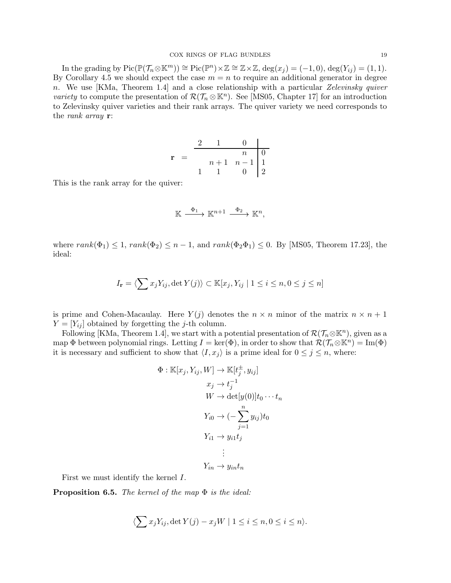In the grading by  $Pic(\mathbb{P}(\mathcal{T}_n\otimes \mathbb{K}^m))\cong Pic(\mathbb{P}^n)\times \mathbb{Z}\cong \mathbb{Z}\times \mathbb{Z}, \deg(x_j)=(-1,0), \deg(Y_{ij})=(1,1).$ By Corollary 4.5 we should expect the case  $m = n$  to require an additional generator in degree n. We use [KMa, Theorem 1.4] and a close relationship with a particular Zelevinsky quiver variety to compute the presentation of  $\mathcal{R}(\mathcal{T}_n \otimes \mathbb{K}^n)$ . See [MS05, Chapter 17] for an introduction to Zelevinsky quiver varieties and their rank arrays. The quiver variety we need corresponds to the rank array r:

| r |  |       |                                                   |  |
|---|--|-------|---------------------------------------------------|--|
|   |  |       | $\, n$                                            |  |
|   |  | $n+1$ | $\begin{array}{c c} n-1 & 1 \\ 0 & 2 \end{array}$ |  |
|   |  |       |                                                   |  |

This is the rank array for the quiver:

$$
\mathbb{K} \xrightarrow{\Phi_1} \mathbb{K}^{n+1} \xrightarrow{\Phi_2} \mathbb{K}^n,
$$

where  $rank(\Phi_1) \leq 1$ ,  $rank(\Phi_2) \leq n-1$ , and  $rank(\Phi_2 \Phi_1) \leq 0$ . By [MS05, Theorem 17.23], the ideal:

$$
I_{\mathbf{r}} = \langle \sum x_j Y_{ij}, \det Y(j) \rangle \subset \mathbb{K}[x_j, Y_{ij} \mid 1 \le i \le n, 0 \le j \le n]
$$

is prime and Cohen-Macaulay. Here  $Y(j)$  denotes the  $n \times n$  minor of the matrix  $n \times n + 1$  $Y = [Y_{ij}]$  obtained by forgetting the *j*-th column.

Following [KMa, Theorem 1.4], we start with a potential presentation of  $\mathcal{R}(\mathcal{T}_n \otimes \mathbb{K}^n)$ , given as a map  $\Phi$  between polynomial rings. Letting  $I = \ker(\Phi)$ , in order to show that  $\mathcal{R}(\mathcal{T}_n \otimes \mathbb{K}^n) = \text{Im}(\Phi)$ it is necessary and sufficient to show that  $\langle I, x_j \rangle$  is a prime ideal for  $0 \leq j \leq n$ , where:

$$
\Phi : \mathbb{K}[x_j, Y_{ij}, W] \to \mathbb{K}[t_j^{\pm}, y_{ij}]
$$
  
\n
$$
x_j \to t_j^{-1}
$$
  
\n
$$
W \to \det[y(0)]t_0 \cdots t_n
$$
  
\n
$$
Y_{i0} \to (-\sum_{j=1}^n y_{ij})t_0
$$
  
\n
$$
Y_{i1} \to y_{i1}t_j
$$
  
\n
$$
\vdots
$$
  
\n
$$
Y_{in} \to y_{in}t_n
$$

First we must identify the kernel I.

**Proposition 6.5.** The kernel of the map  $\Phi$  is the ideal:

$$
\langle \sum x_j Y_{ij}, \det Y(j) - x_j W \mid 1 \le i \le n, 0 \le i \le n \rangle.
$$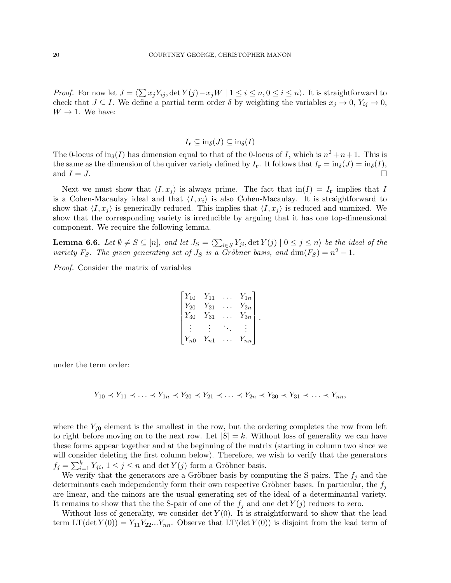*Proof.* For now let  $J = \langle \sum x_j Y_{ij}$ , det  $Y(j) - x_j W \mid 1 \le i \le n, 0 \le i \le n \rangle$ . It is straightforward to check that  $J \subseteq I$ . We define a partial term order  $\delta$  by weighting the variables  $x_j \to 0$ ,  $Y_{ij} \to 0$ ,  $W \rightarrow 1$ . We have:

$$
I_{\mathbf{r}} \subseteq \text{in}_{\delta}(J) \subseteq \text{in}_{\delta}(I)
$$

The 0-locus of  $\text{in}_{\delta}(I)$  has dimension equal to that of the 0-locus of I, which is  $n^2 + n + 1$ . This is the same as the dimension of the quiver variety defined by  $I_r$ . It follows that  $I_r = \text{in}_{\delta}(J) = \text{in}_{\delta}(I)$ , and  $I = J$ .

Next we must show that  $\langle I, x_j \rangle$  is always prime. The fact that  $\text{in}(I) = I_r$  implies that I is a Cohen-Macaulay ideal and that  $\langle I, x_i \rangle$  is also Cohen-Macaulay. It is straightforward to show that  $\langle I, x_i \rangle$  is generically reduced. This implies that  $\langle I, x_i \rangle$  is reduced and unmixed. We show that the corresponding variety is irreducible by arguing that it has one top-dimensional component. We require the following lemma.

**Lemma 6.6.** Let  $\emptyset \neq S \subseteq [n]$ , and let  $J_S = \langle \sum_{i \in S} Y_{ji}$ ,  $\det Y(j) \mid 0 \leq j \leq n \rangle$  be the ideal of the variety F<sub>S</sub>. The given generating set of  $J_S$  is a Gröbner basis, and  $\dim(F_S) = n^2 - 1$ .

Proof. Consider the matrix of variables

$$
\begin{bmatrix} Y_{10} & Y_{11} & \cdots & Y_{1n} \\ Y_{20} & Y_{21} & \cdots & Y_{2n} \\ Y_{30} & Y_{31} & \cdots & Y_{3n} \\ \vdots & \vdots & \ddots & \vdots \\ Y_{n0} & Y_{n1} & \cdots & Y_{nn} \end{bmatrix}.
$$

under the term order:

 $Y_{10} \prec Y_{11} \prec \ldots \prec Y_{1n} \prec Y_{20} \prec Y_{21} \prec \ldots \prec Y_{2n} \prec Y_{30} \prec Y_{31} \prec \ldots \prec Y_{nn}$ 

where the  $Y_{j0}$  element is the smallest in the row, but the ordering completes the row from left to right before moving on to the next row. Let  $|S| = k$ . Without loss of generality we can have these forms appear together and at the beginning of the matrix (starting in column two since we will consider deleting the first column below). Therefore, we wish to verify that the generators  $f_j = \sum_{i=1}^k Y_{ji}$ ,  $1 \le j \le n$  and  $\det Y(j)$  form a Gröbner basis.

We verify that the generators are a Gröbner basis by computing the S-pairs. The  $f_i$  and the determinants each independently form their own respective Gröbner bases. In particular, the  $f_i$ are linear, and the minors are the usual generating set of the ideal of a determinantal variety. It remains to show that the the S-pair of one of the  $f_i$  and one det  $Y(j)$  reduces to zero.

Without loss of generality, we consider  $\det Y(0)$ . It is straightforward to show that the lead term  $LT(\det Y(0)) = Y_{11}Y_{22}...Y_{nn}$ . Observe that  $LT(\det Y(0))$  is disjoint from the lead term of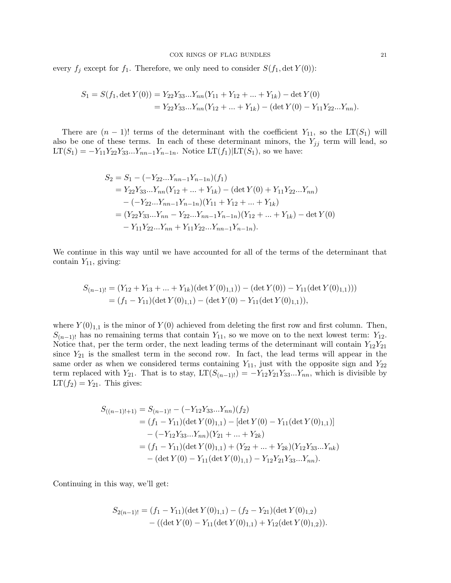every  $f_j$  except for  $f_1$ . Therefore, we only need to consider  $S(f_1, \det Y(0))$ :

$$
S_1 = S(f_1, \det Y(0)) = Y_{22}Y_{33}...Y_{nn}(Y_{11} + Y_{12} + ... + Y_{1k}) - \det Y(0)
$$
  
=  $Y_{22}Y_{33}...Y_{nn}(Y_{12} + ... + Y_{1k}) - (\det Y(0) - Y_{11}Y_{22}...Y_{nn}).$ 

There are  $(n-1)!$  terms of the determinant with the coefficient  $Y_{11}$ , so the LT(S<sub>1</sub>) will also be one of these terms. In each of these determinant minors, the  $Y_{jj}$  term will lead, so  $LT(S_1) = -Y_{11}Y_{22}Y_{33}...Y_{nn-1}Y_{n-1n}$ . Notice  $LT(f_1)|LT(S_1)$ , so we have:

$$
S_2 = S_1 - (-Y_{22}...Y_{nn-1}Y_{n-1n})(f_1)
$$
  
=  $Y_{22}Y_{33}...Y_{nn}(Y_{12} + ... + Y_{1k}) - (\det Y(0) + Y_{11}Y_{22}...Y_{nn})$   
 $- (-Y_{22}...Y_{nn-1}Y_{n-1n})(Y_{11} + Y_{12} + ... + Y_{1k})$   
=  $(Y_{22}Y_{33}...Y_{nn} - Y_{22}...Y_{nn-1}Y_{n-1n})(Y_{12} + ... + Y_{1k}) - \det Y(0)$   
 $- Y_{11}Y_{22}...Y_{nn} + Y_{11}Y_{22}...Y_{nn-1}Y_{n-1n}).$ 

We continue in this way until we have accounted for all of the terms of the determinant that contain  $Y_{11}$ , giving:

$$
S_{(n-1)!} = (Y_{12} + Y_{13} + ... + Y_{1k})(\det Y(0)_{1,1})) - (\det Y(0)) - Y_{11}(\det Y(0)_{1,1})))
$$
  
=  $(f_1 - Y_{11})(\det Y(0)_{1,1}) - (\det Y(0) - Y_{11}(\det Y(0)_{1,1})),$ 

where  $Y(0)_{1,1}$  is the minor of  $Y(0)$  achieved from deleting the first row and first column. Then,  $S_{(n-1)!}$  has no remaining terms that contain  $Y_{11}$ , so we move on to the next lowest term:  $Y_{12}$ . Notice that, per the term order, the next leading terms of the determinant will contain  $Y_{12}Y_{21}$ since  $Y_{21}$  is the smallest term in the second row. In fact, the lead terms will appear in the same order as when we considered terms containing  $Y_{11}$ , just with the opposite sign and  $Y_{22}$ term replaced with Y<sub>21</sub>. That is to stay,  $LT(S_{(n-1)!}) = -Y_{12}Y_{21}Y_{33}...Y_{nn}$ , which is divisible by  $LT(f_2) = Y_{21}$ . This gives:

$$
S_{((n-1)!+1)} = S_{(n-1)!} - (-Y_{12}Y_{33}...Y_{nn})(f_2)
$$
  
=  $(f_1 - Y_{11})(\det Y(0)_{1,1}) - [\det Y(0) - Y_{11}(\det Y(0)_{1,1})]$   
 $- (-Y_{12}Y_{33}...Y_{nn})(Y_{21} + ... + Y_{2k})$   
=  $(f_1 - Y_{11})(\det Y(0)_{1,1}) + (Y_{22} + ... + Y_{2k})(Y_{12}Y_{33}...Y_{nk})$   
 $- (\det Y(0) - Y_{11}(\det Y(0)_{1,1}) - Y_{12}Y_{21}Y_{33}...Y_{nn}).$ 

Continuing in this way, we'll get:

$$
S_{2(n-1)!} = (f_1 - Y_{11})(\det Y(0)_{1,1}) - (f_2 - Y_{21})(\det Y(0)_{1,2}) - ((\det Y(0) - Y_{11}(\det Y(0)_{1,1}) + Y_{12}(\det Y(0)_{1,2})).
$$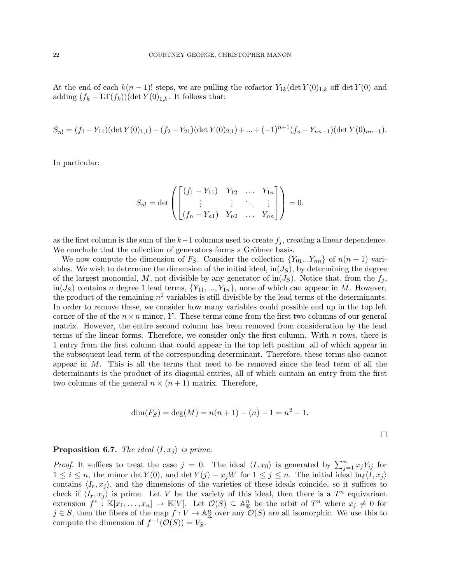At the end of each  $k(n-1)!$  steps, we are pulling the cofactor  $Y_{1k}(\det Y(0)_{1,k}$  off  $\det Y(0)$  and adding  $(f_k - LT(f_k))$ (det  $Y(0)_{1,k}$ . It follows that:

$$
S_{n!} = (f_1 - Y_{11})(\det Y(0)_{1,1}) - (f_2 - Y_{21})(\det Y(0)_{2,1}) + ... + (-1)^{n+1}(f_n - Y_{nn-1})(\det Y(0)_{nn-1}).
$$

In particular:

$$
S_{n!} = \det \left( \begin{bmatrix} (f_1 - Y_{11}) & Y_{12} & \dots & Y_{1n} \\ \vdots & \vdots & \ddots & \vdots \\ (f_n - Y_{n1}) & Y_{n2} & \dots & Y_{nn} \end{bmatrix} \right) = 0.
$$

as the first column is the sum of the  $k-1$  columns used to create  $f_j$ , creating a linear dependence. We conclude that the collection of generators forms a Gröbner basis.

We now compute the dimension of  $F_S$ . Consider the collection  $\{Y_{01}...Y_{nn}\}$  of  $n(n+1)$  variables. We wish to determine the dimension of the initial ideal,  $\text{in}(J<sub>S</sub>)$ , by determining the degree of the largest monomial, M, not divisible by any generator of  $\text{in}(J_S)$ . Notice that, from the  $f_j$ , in( $J_S$ ) contains n degree 1 lead terms,  $\{Y_{11},...,Y_{1n}\}$ , none of which can appear in M. However, the product of the remaining  $n^2$  variables is still divisible by the lead terms of the determinants. In order to remove these, we consider how many variables could possible end up in the top left corner of the of the  $n \times n$  minor, Y. These terms come from the first two columns of our general matrix. However, the entire second column has been removed from consideration by the lead terms of the linear forms. Therefore, we consider only the first column. With  $n$  rows, there is 1 entry from the first column that could appear in the top left position, all of which appear in the subsequent lead term of the corresponding determinant. Therefore, these terms also cannot appear in  $M$ . This is all the terms that need to be removed since the lead term of all the determinants is the product of its diagonal entries, all of which contain an entry from the first two columns of the general  $n \times (n+1)$  matrix. Therefore,

$$
\dim(F_S) = \deg(M) = n(n+1) - (n) - 1 = n^2 - 1.
$$

#### **Proposition 6.7.** The ideal  $\langle I, x_i \rangle$  is prime.

*Proof.* It suffices to treat the case  $j = 0$ . The ideal  $\langle I, x_0 \rangle$  is generated by  $\sum_{j=1}^n x_j Y_{ij}$  for  $1 \leq i \leq n$ , the minor det  $Y(0)$ , and det  $Y(j) - x_jW$  for  $1 \leq j \leq n$ . The initial ideal in  $\delta\{I, x_j\}$ contains  $\langle I_{\mathbf{r}}, x_j \rangle$ , and the dimensions of the varieties of these ideals coincide, so it suffices to check if  $\langle I_{\bf r}, x_j \rangle$  is prime. Let V be the variety of this ideal, then there is a  $T^n$  equivariant extension  $f^*: \mathbb{K}[x_1,\ldots,x_n] \to \mathbb{K}[V]$ . Let  $\mathcal{O}(S) \subseteq \mathbb{A}_{\mathbb{K}}^n$  be the orbit of  $T^n$  where  $x_j \neq 0$  for  $j \in S$ , then the fibers of the map  $f: V \to \mathbb{A}_{\mathbb{K}}^n$  over any  $\mathcal{O}(S)$  are all isomorphic. We use this to compute the dimension of  $f^{-1}(\mathcal{O}(S)) = V_S$ .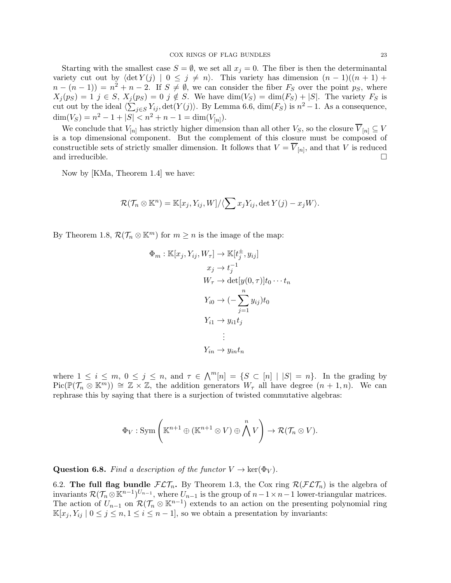Starting with the smallest case  $S = \emptyset$ , we set all  $x_j = 0$ . The fiber is then the determinantal variety cut out by  $\langle \det Y(j) | 0 \leq j \neq n \rangle$ . This variety has dimension  $(n-1)((n+1) +$  $n - (n - 1) = n^2 + n - 2$ . If  $S \neq \emptyset$ , we can consider the fiber  $F_S$  over the point  $p_S$ , where  $X_j(p_S) = 1$   $j \in S$ ,  $X_j(p_S) = 0$   $j \notin S$ . We have  $\dim(V_S) = \dim(F_S) + |S|$ . The variety  $F_S$  is cut out by the ideal  $\langle \sum_{j \in S} Y_{ij}$ ,  $\det(Y(j))$ . By Lemma 6.6,  $\dim(F_S)$  is  $n^2 - 1$ . As a consequence,  $\dim(V_S) = n^2 - 1 + |S| < n^2 + n - 1 = \dim(V_{[n]})$ .

We conclude that  $V_{[n]}$  has strictly higher dimension than all other  $V_S$ , so the closure  $\overline{V}_{[n]} \subseteq V$ is a top dimensional component. But the complement of this closure must be composed of constructible sets of strictly smaller dimension. It follows that  $V = V_{[n]}$ , and that V is reduced and irreducible.  $\Box$ 

Now by [KMa, Theorem 1.4] we have:

$$
\mathcal{R}(\mathcal{T}_n \otimes \mathbb{K}^n) = \mathbb{K}[x_j, Y_{ij}, W]/\langle \sum x_j Y_{ij}, \det Y(j) - x_j W \rangle.
$$

By Theorem 1.8,  $\mathcal{R}(\mathcal{T}_n \otimes \mathbb{K}^m)$  for  $m \geq n$  is the image of the map:

$$
\Phi_m : \mathbb{K}[x_j, Y_{ij}, W_\tau] \to \mathbb{K}[t_j^{\pm}, y_{ij}]
$$
\n
$$
x_j \to t_j^{-1}
$$
\n
$$
W_\tau \to \det[y(0, \tau)]t_0 \cdots t_n
$$
\n
$$
Y_{i0} \to (-\sum_{j=1}^n y_{ij})t_0
$$
\n
$$
Y_{i1} \to y_{i1}t_j
$$
\n
$$
\vdots
$$
\n
$$
Y_{in} \to y_{in}t_n
$$

where  $1 \leq i \leq m, 0 \leq j \leq n$ , and  $\tau \in \bigwedge^{m}[n] = \{S \subset [n] \mid |S| = n\}$ . In the grading by  $Pic(\mathbb{P}(\mathcal{T}_n \otimes \mathbb{K}^m)) \cong \mathbb{Z} \times \mathbb{Z}$ , the addition generators  $W_\tau$  all have degree  $(n+1,n)$ . We can rephrase this by saying that there is a surjection of twisted commutative algebras:

$$
\Phi_V : \mathrm{Sym} \left( \mathbb{K}^{n+1} \oplus (\mathbb{K}^{n+1} \otimes V) \oplus \bigwedge^n V \right) \to \mathcal{R}(\mathcal{T}_n \otimes V).
$$

**Question 6.8.** Find a description of the functor  $V \to \text{ker}(\Phi_V)$ .

6.2. The full flag bundle  $FL\mathcal{T}_n$ . By Theorem 1.3, the Cox ring  $R(FL\mathcal{T}_n)$  is the algebra of invariants  $\mathcal{R}(\mathcal{T}_n \otimes \mathbb{K}^{n-1})^{U_{n-1}}$ , where  $U_{n-1}$  is the group of  $n-1 \times n-1$  lower-triangular matrices. The action of  $U_{n-1}$  on  $\mathcal{R}(\mathcal{T}_n \otimes \mathbb{K}^{n-1})$  extends to an action on the presenting polynomial ring  $\mathbb{K}[x_j, Y_{ij} \mid 0 \leq j \leq n, 1 \leq i \leq n-1]$ , so we obtain a presentation by invariants: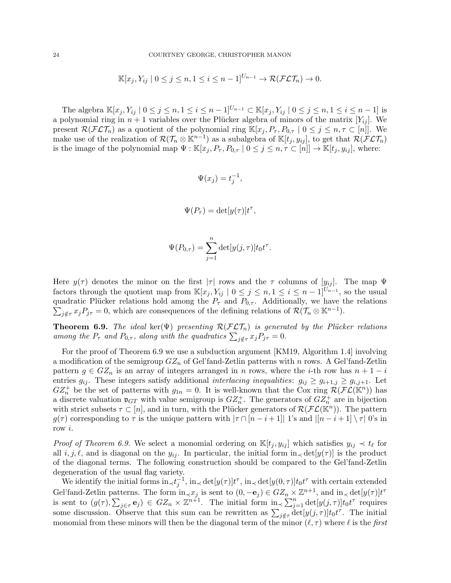$$
\mathbb{K}[x_j, Y_{ij} \mid 0 \leq j \leq n, 1 \leq i \leq n-1]^{U_{n-1}} \to \mathcal{R}(\mathcal{FLT}_n) \to 0.
$$

The algebra  $\mathbb{K}[x_j, Y_{ij} | 0 \le j \le n, 1 \le i \le n-1]^{U_{n-1}} \subset \mathbb{K}[x_j, Y_{ij} | 0 \le j \le n, 1 \le i \le n-1]$  is a polynomial ring in  $n + 1$  variables over the Plücker algebra of minors of the matrix  $[Y_{ij}]$ . We present  $\mathcal{R}(\mathcal{FLT}_n)$  as a quotient of the polynomial ring  $\mathbb{K}[x_i, P_\tau, P_{0,\tau} \mid 0 \leq j \leq n, \tau \subset [n]$ . We make use of the realization of  $\mathcal{R}(\mathcal{T}_n \otimes \mathbb{K}^{n-1})$  as a subalgebra of  $\mathbb{K}[t_j,y_{ij}]$ , to get that  $\mathcal{R}(\mathcal{FLT}_n)$ is the image of the polynomial map  $\Psi : \mathbb{K}[x_j, P_\tau, P_{0,\tau} \mid 0 \leq j \leq n, \tau \subset [n]] \to \mathbb{K}[t_j, y_{ij}],$  where:

$$
\Psi(x_j) = t_j^{-1},
$$

$$
\Psi(P_{\tau}) = \det[y(\tau)]t^{\tau},
$$

$$
\Psi(P_{0,\tau}) = \sum_{j=1}^n \det[y(j,\tau)] t_0 t^{\tau}.
$$

Here  $y(\tau)$  denotes the minor on the first  $|\tau|$  rows and the  $\tau$  columns of  $[y_{ij}]$ . The map  $\Psi$ factors through the quotient map from  $\mathbb{K}[x_j, Y_{ij} \mid 0 \leq j \leq n, 1 \leq i \leq n-1]^{U_{n-1}}$ , so the usual quadratic Plücker relations hold among the  $P_{\tau}$  and  $P_{0,\tau}$ . Additionally, we have the relations  $\sum_{j \notin \tau} x_j P_{j\tau} = 0$ , which are consequences of the defining relations of  $\mathcal{R}(\mathcal{T}_n \otimes \mathbb{K}^{n-1})$ .

**Theorem 6.9.** The ideal ker( $\Psi$ ) presenting  $\mathcal{R}(\mathcal{FLT}_n)$  is generated by the Plücker relations among the  $P_{\tau}$  and  $P_{0,\tau}$ , along with the quadratics  $\sum_{j \notin \tau} x_j P_{j\tau} = 0$ .

For the proof of Theorem 6.9 we use a subduction argument [KM19, Algorithm 1.4] involving a modification of the semigroup  $GZ_n$  of Gel'fand-Zetlin patterns with n rows. A Gel'fand-Zetlin pattern  $g \in GZ_n$  is an array of integers arranged in n rows, where the i-th row has  $n+1-i$ entries  $g_{ij}$ . These integers satisfy additional interlacing inequalities:  $g_{ij} \ge g_{i+1,j} \ge g_{i,j+1}$ . Let  $GZ_n^+$  be the set of patterns with  $g_{1n} = 0$ . It is well-known that the Cox ring  $\mathcal{R}(\mathcal{FL}(\mathbb{K}^n))$  has a discrete valuation  $\mathfrak{v}_{GT}$  with value semigroup is  $GZ_n^+$ . The generators of  $GZ_n^+$  are in bijection with strict subsets  $\tau \subset [n]$ , and in turn, with the Plücker generators of  $\mathcal{R}(\mathcal{FL}(\mathbb{K}^n))$ . The pattern  $g(\tau)$  corresponding to  $\tau$  is the unique pattern with  $|\tau \cap [n-i+1]|$  1's and  $|[n-i+1] \setminus \tau |$  0's in row i.

*Proof of Theorem 6.9.* We select a monomial ordering on  $\mathbb{K}[t_j, y_{ij}]$  which satisfies  $y_{ij} \prec t_\ell$  for all  $i, j, \ell$ , and is diagonal on the  $y_{ij}$ . In particular, the initial form  $\text{in}_{\prec} \det[y(\tau)]$  is the product of the diagonal terms. The following construction should be compared to the Gel'fand-Zetlin degeneration of the usual flag variety.

We identify the initial forms  $\text{in}_{\prec} t_j^{-1}$ ,  $\text{in}_{\prec} \det[y(\tau)] t^{\tau}$ ,  $\text{in}_{\prec} \det[y(0, \tau)] t_0 t^{\tau}$  with certain extended Gel'fand-Zetlin patterns. The form  $\text{in}_{\prec} x_j$  is sent to  $(0, -\mathbf{e}_j) \in GZ_n \times \mathbb{Z}^{n+1}$ , and  $\text{in}_{\prec} \det[y(\tau)] t^{\tau}$ is sent to  $(g(\tau), \sum_{j \in \tau} e_j) \in GZ_n \times \mathbb{Z}^{n+1}$ . The initial form  $\text{in}_{\prec} \sum_{j=1}^n \det[y(j, \tau)] t_0 t^{\tau}$  requires some discussion. Observe that this sum can be rewritten as  $\sum_{j \notin \tau} \det[y(j, \tau)] t_0 t^{\tau}$ . The initial monomial from these minors will then be the diagonal term of the minor  $(\ell, \tau)$  where  $\ell$  is the first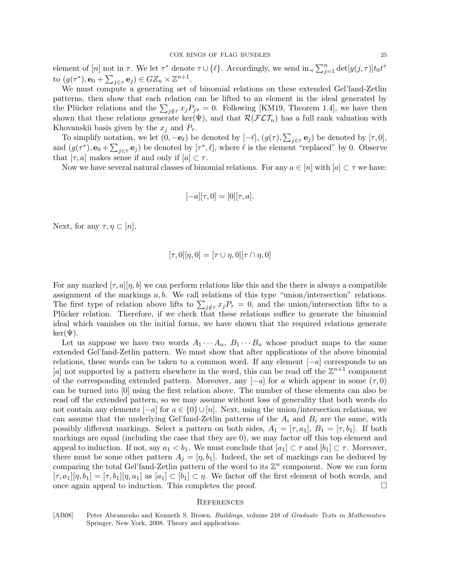element of [n] not in  $\tau$ . We let  $\tau^*$  denote  $\tau \cup {\ell}$ . Accordingly, we send  $\text{in}_{\prec} \sum_{j=1}^n \det[y(j, \tau)] t_0 t^{\tau}$ to  $(g(\tau^*), \mathbf{e}_0 + \sum_{j \in \tau} \mathbf{e}_j) \in GZ_n \times \mathbb{Z}^{n+1}$ .

We must compute a generating set of binomial relations on these extended Gel'fand-Zetlin patterns, then show that each relation can be lifted to an element in the ideal generated by the Plücker relations and the  $\sum_{j \notin \tau} x_j P_{j\tau} = 0$ . Following [KM19, Theorem 1.4], we have then shown that these relations generate ker( $\Psi$ ), and that  $\mathcal{R}(\mathcal{FLT}_n)$  has a full rank valuation with Khovanskii basis given by the  $x_i$  and  $P_{\tau}$ .

To simplify notation, we let  $(0, -{\bf e}_{\ell})$  be denoted by  $[-\ell], (g(\tau), \sum_{j\in\tau} {\bf e}_j)$  be denoted by  $[\tau, 0],$ and  $(g(\tau^*), \mathbf{e}_0 + \sum_{j \in \tau} \mathbf{e}_j)$  be denoted by  $[\tau^*, \ell]$ , where  $\ell$  is the element "replaced" by 0. Observe that  $[\tau, a]$  makes sense if and only if  $[a] \subset \tau$ .

Now we have several natural classes of binomial relations. For any  $a \in [n]$  with  $[a] \subset \tau$  we have:

$$
[-a][\tau,0] = [0][\tau,a].
$$

Next, for any  $\tau, \eta \subset [n],$ 

$$
[\tau,0][\eta,0]=[\tau\cup\eta,0][\tau\cap\eta,0]
$$

For any marked  $[\tau, a][\eta, b]$  we can perform relations like this and the there is always a compatible assignment of the markings  $a, b$ . We call relations of this type "union/intersection" relations. The first type of relation above lifts to  $\sum_{j \notin \tau} x_j P_{\tau} = 0$ , and the union/intersection lifts to a Plücker relation. Therefore, if we check that these relations suffice to generate the binomial ideal which vanishes on the initial forms, we have shown that the required relations generate  $\ker(\Psi)$ .

Let us suppose we have two words  $A_1 \cdots A_n$ ,  $B_1 \cdots B_n$  whose product maps to the same extended Gel'fand-Zetlin pattern. We must show that after applications of the above binomial relations, these words can be taken to a common word. If any element  $[-a]$  corresponds to an [a] not supported by a pattern elsewhere in the word, this can be read off the  $\mathbb{Z}^{n+1}$  component of the corresponding extended pattern. Moreover, any  $[-a]$  for a which appear in some  $(\tau, 0)$ can be turned into [0] using the first relation above. The number of these elements can also be read off the extended pattern, so we may assume without loss of generality that both words do not contain any elements  $[-a]$  for  $a \in \{0\} \cup [n]$ . Next, using the union/intersection relations, we can assume that the underlying Gel'fand-Zetlin patterns of the  $A_i$  and  $B_i$  are the same, with possibly different markings. Select a pattern on both sides,  $A_1 = [\tau, a_1], B_1 = [\tau, b_1]$ . If both markings are equal (including the case that they are 0), we may factor off this top element and appeal to induction. If not, say  $a_1 < b_1$ . We must conclude that  $[a_1] \subset \tau$  and  $[b_1] \subset \tau$ . Moreover, there must be some other pattern  $A_i = [\eta, b_1]$ . Indeed, the set of markings can be deduced by comparing the total Gel'fand-Zetlin pattern of the word to its  $\mathbb{Z}^n$  component. Now we can form  $[\tau, a_1][\eta, b_1] = [\tau, b_1][\eta, a_1]$  as  $[a_1] \subset [b_1] \subset \eta$ . We factor off the first element of both words, and once again appeal to induction. This completes the proof.  $\Box$ 

#### **REFERENCES**

[AB08] Peter Abramenko and Kenneth S. Brown. *Buildings*, volume 248 of *Graduate Texts in Mathematics*. Springer, New York, 2008. Theory and applications.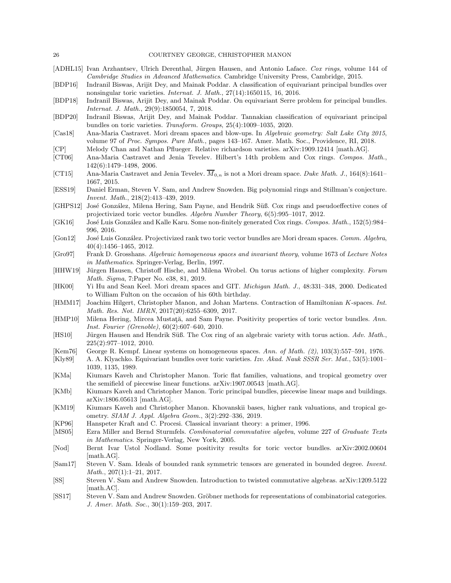- [ADHL15] Ivan Arzhantsev, Ulrich Derenthal, Jürgen Hausen, and Antonio Laface. *Cox rings*, volume 144 of *Cambridge Studies in Advanced Mathematics*. Cambridge University Press, Cambridge, 2015.
- [BDP16] Indranil Biswas, Arijit Dey, and Mainak Poddar. A classification of equivariant principal bundles over nonsingular toric varieties. *Internat. J. Math.*, 27(14):1650115, 16, 2016.
- [BDP18] Indranil Biswas, Arijit Dey, and Mainak Poddar. On equivariant Serre problem for principal bundles. *Internat. J. Math.*, 29(9):1850054, 7, 2018.
- [BDP20] Indranil Biswas, Arijit Dey, and Mainak Poddar. Tannakian classification of equivariant principal bundles on toric varieties. *Transform. Groups*, 25(4):1009–1035, 2020.
- [Cas18] Ana-Maria Castravet. Mori dream spaces and blow-ups. In *Algebraic geometry: Salt Lake City 2015*, volume 97 of *Proc. Sympos. Pure Math.*, pages 143–167. Amer. Math. Soc., Providence, RI, 2018.
- [CP] Melody Chan and Nathan Pflueger. Relative richardson varieties. arXiv:1909.12414 [math.AG].
- [CT06] Ana-Maria Castravet and Jenia Tevelev. Hilbert's 14th problem and Cox rings. *Compos. Math.*, 142(6):1479–1498, 2006.
- [CT15] Ana-Maria Castravet and Jenia Tevelev.  $\overline{M}_{0,n}$  is not a Mori dream space. *Duke Math. J.*, 164(8):1641– 1667, 2015.
- [ESS19] Daniel Erman, Steven V. Sam, and Andrew Snowden. Big polynomial rings and Stillman's conjecture. *Invent. Math.*, 218(2):413–439, 2019.
- [GHPS12] José González, Milena Hering, Sam Payne, and Hendrik Süß. Cox rings and pseudoeffective cones of projectivized toric vector bundles. *Algebra Number Theory*, 6(5):995–1017, 2012.
- [GK16] José Luis González and Kalle Karu. Some non-finitely generated Cox rings. *Compos. Math.*, 152(5):984– 996, 2016.
- [Gon12] Jos´e Luis Gonz´alez. Projectivized rank two toric vector bundles are Mori dream spaces. *Comm. Algebra*, 40(4):1456–1465, 2012.
- [Gro97] Frank D. Grosshans. *Algebraic homogeneous spaces and invariant theory*, volume 1673 of *Lecture Notes in Mathematics*. Springer-Verlag, Berlin, 1997.
- [HHW19] Jürgen Hausen, Christoff Hische, and Milena Wrobel. On torus actions of higher complexity. *Forum Math. Sigma*, 7:Paper No. e38, 81, 2019.
- [HK00] Yi Hu and Sean Keel. Mori dream spaces and GIT. *Michigan Math. J.*, 48:331–348, 2000. Dedicated to William Fulton on the occasion of his 60th birthday.
- [HMM17] Joachim Hilgert, Christopher Manon, and Johan Martens. Contraction of Hamiltonian K-spaces. *Int. Math. Res. Not. IMRN*, 2017(20):6255–6309, 2017.
- [HMP10] Milena Hering, Mircea Mustata, and Sam Payne. Positivity properties of toric vector bundles. Ann. *Inst. Fourier (Grenoble)*, 60(2):607–640, 2010.
- [HS10] Jürgen Hausen and Hendrik Süß. The Cox ring of an algebraic variety with torus action. Adv. Math., 225(2):977–1012, 2010.
- [Kem76] George R. Kempf. Linear systems on homogeneous spaces. *Ann. of Math. (2)*, 103(3):557–591, 1976.
- [Kly89] A. A. Klyachko. Equivariant bundles over toric varieties. *Izv. Akad. Nauk SSSR Ser. Mat.*, 53(5):1001– 1039, 1135, 1989.
- [KMa] Kiumars Kaveh and Christopher Manon. Toric flat families, valuations, and tropical geometry over the semifield of piecewise linear functions. arXiv:1907.00543 [math.AG].
- [KMb] Kiumars Kaveh and Christopher Manon. Toric principal bundles, piecewise linear maps and buildings. arXiv:1806.05613 [math.AG].
- [KM19] Kiumars Kaveh and Christopher Manon. Khovanskii bases, higher rank valuations, and tropical geometry. *SIAM J. Appl. Algebra Geom.*, 3(2):292–336, 2019.
- [KP96] Hanspeter Kraft and C. Procesi. Classical invariant theory: a primer, 1996.
- [MS05] Ezra Miller and Bernd Sturmfels. *Combinatorial commutative algebra*, volume 227 of *Graduate Texts in Mathematics*. Springer-Verlag, New York, 2005.
- [Nod] Bernt Ivar Ustol Nodland. Some positivity results for toric vector bundles. arXiv:2002.00604 [math.AG].
- [Sam17] Steven V. Sam. Ideals of bounded rank symmetric tensors are generated in bounded degree. *Invent. Math.*, 207(1):1–21, 2017.
- [SS] Steven V. Sam and Andrew Snowden. Introduction to twisted commutative algebras. arXiv:1209.5122 [math.AC].
- [SS17] Steven V. Sam and Andrew Snowden. Gröbner methods for representations of combinatorial categories. *J. Amer. Math. Soc.*, 30(1):159–203, 2017.